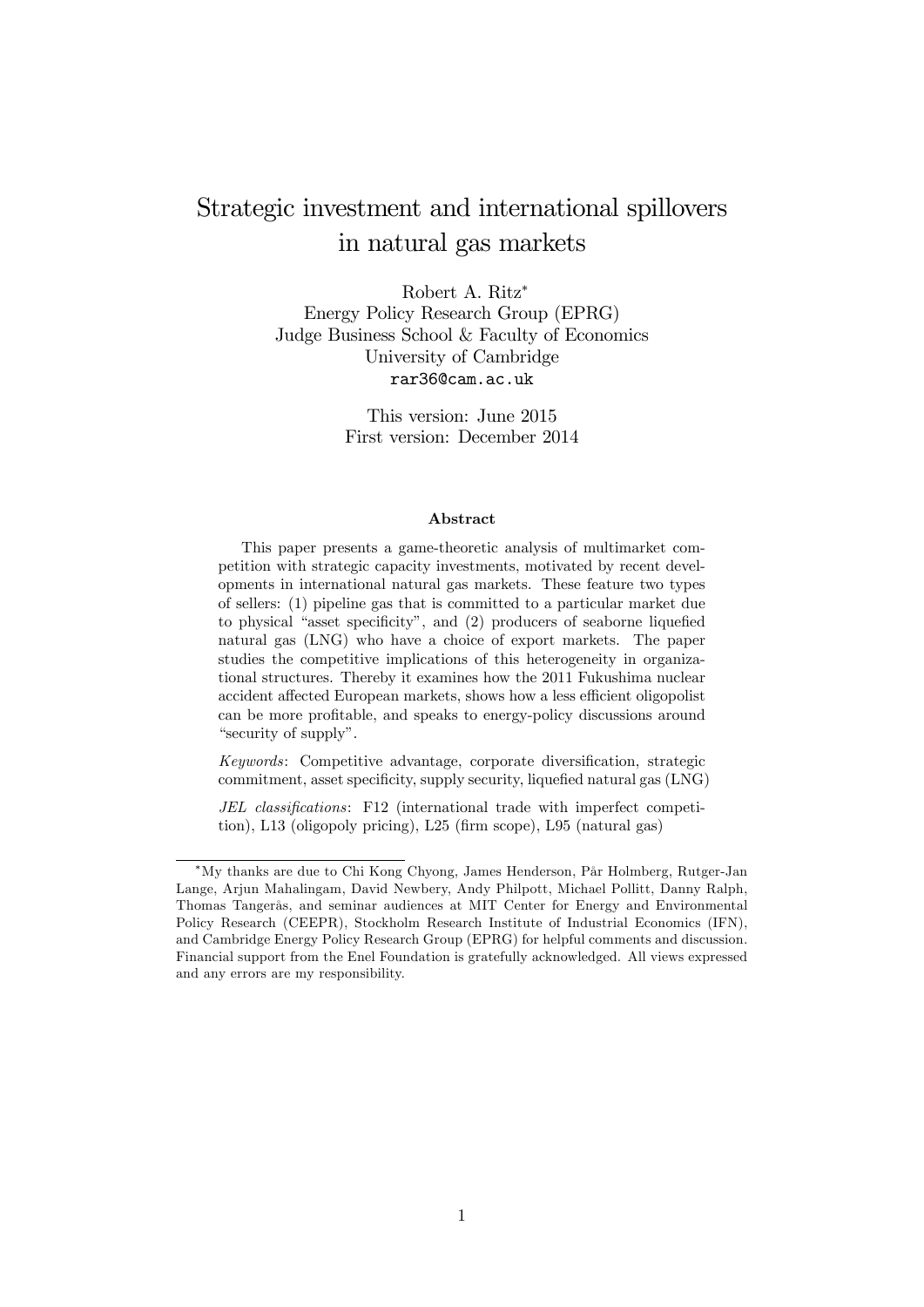# Strategic investment and international spillovers in natural gas markets

Robert A. Ritz Energy Policy Research Group (EPRG) Judge Business School & Faculty of Economics University of Cambridge rar36@cam.ac.uk

> This version: June 2015 First version: December 2014

#### Abstract

This paper presents a game-theoretic analysis of multimarket competition with strategic capacity investments, motivated by recent developments in international natural gas markets. These feature two types of sellers: (1) pipeline gas that is committed to a particular market due to physical "asset specificity", and  $(2)$  producers of seaborne liquefied natural gas (LNG) who have a choice of export markets. The paper studies the competitive implications of this heterogeneity in organizational structures. Thereby it examines how the 2011 Fukushima nuclear accident affected European markets, shows how a less efficient oligopolist can be more profitable, and speaks to energy-policy discussions around "security of supply".

 $Keywords:$  Competitive advantage, corporate diversification, strategic commitment, asset specificity, supply security, liquefied natural gas  $(LNG)$ 

JEL classifications: F12 (international trade with imperfect competition), L13 (oligopoly pricing), L25 (firm scope), L95 (natural gas)

My thanks are due to Chi Kong Chyong, James Henderson, PÂr Holmberg, Rutger-Jan Lange, Arjun Mahalingam, David Newbery, Andy Philpott, Michael Pollitt, Danny Ralph, Thomas TangerÂs, and seminar audiences at MIT Center for Energy and Environmental Policy Research (CEEPR), Stockholm Research Institute of Industrial Economics (IFN), and Cambridge Energy Policy Research Group (EPRG) for helpful comments and discussion. Financial support from the Enel Foundation is gratefully acknowledged. All views expressed and any errors are my responsibility.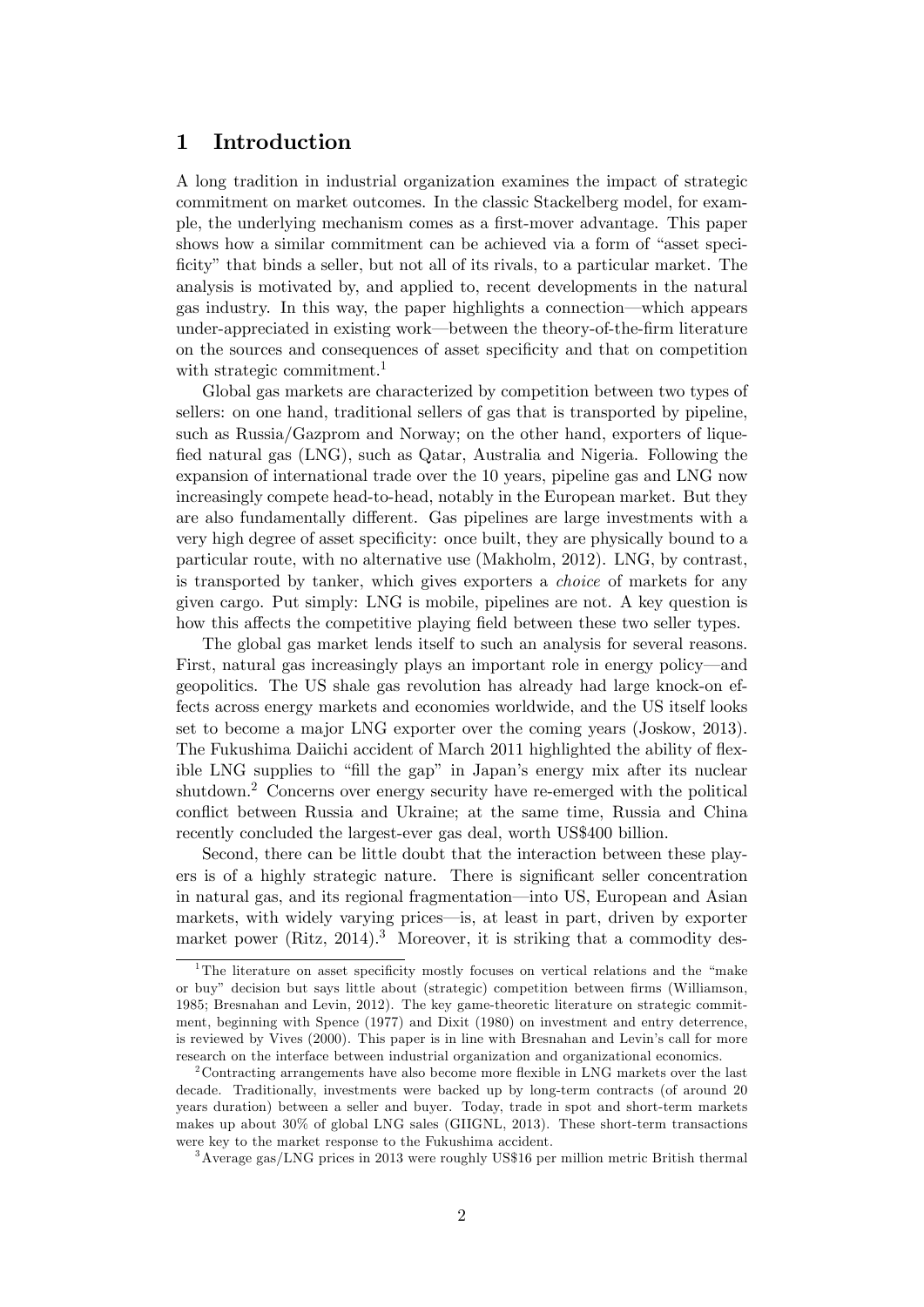# 1 Introduction

A long tradition in industrial organization examines the impact of strategic commitment on market outcomes. In the classic Stackelberg model, for example, the underlying mechanism comes as a first-mover advantage. This paper shows how a similar commitment can be achieved via a form of "asset specificity" that binds a seller, but not all of its rivals, to a particular market. The analysis is motivated by, and applied to, recent developments in the natural gas industry. In this way, the paper highlights a connection—which appears under-appreciated in existing work—between the theory-of-the-firm literature on the sources and consequences of asset specificity and that on competition with strategic commitment.<sup>1</sup>

Global gas markets are characterized by competition between two types of sellers: on one hand, traditional sellers of gas that is transported by pipeline, such as Russia/Gazprom and Norway; on the other hand, exporters of lique-Öed natural gas (LNG), such as Qatar, Australia and Nigeria. Following the expansion of international trade over the 10 years, pipeline gas and LNG now increasingly compete head-to-head, notably in the European market. But they are also fundamentally different. Gas pipelines are large investments with a very high degree of asset specificity: once built, they are physically bound to a particular route, with no alternative use (Makholm, 2012). LNG, by contrast, is transported by tanker, which gives exporters a choice of markets for any given cargo. Put simply: LNG is mobile, pipelines are not. A key question is how this affects the competitive playing field between these two seller types.

The global gas market lends itself to such an analysis for several reasons. First, natural gas increasingly plays an important role in energy policy—and geopolitics. The US shale gas revolution has already had large knock-on effects across energy markets and economies worldwide, and the US itself looks set to become a major LNG exporter over the coming years (Joskow, 2013). The Fukushima Daiichi accident of March 2011 highlighted the ability of flexible LNG supplies to "fill the gap" in Japan's energy mix after its nuclear shutdown.<sup>2</sup> Concerns over energy security have re-emerged with the political conflict between Russia and Ukraine; at the same time, Russia and China recently concluded the largest-ever gas deal, worth US\$400 billion.

Second, there can be little doubt that the interaction between these players is of a highly strategic nature. There is significant seller concentration in natural gas, and its regional fragmentation—into US, European and Asian markets, with widely varying prices—is, at least in part, driven by exporter market power (Ritz,  $2014$ ).<sup>3</sup> Moreover, it is striking that a commodity des-

<sup>&</sup>lt;sup>1</sup>The literature on asset specificity mostly focuses on vertical relations and the "make or buy" decision but says little about (strategic) competition between firms (Williamson, 1985; Bresnahan and Levin, 2012). The key game-theoretic literature on strategic commitment, beginning with Spence (1977) and Dixit (1980) on investment and entry deterrence, is reviewed by Vives (2000). This paper is in line with Bresnahan and Levin's call for more research on the interface between industrial organization and organizational economics.

<sup>&</sup>lt;sup>2</sup> Contracting arrangements have also become more flexible in LNG markets over the last decade. Traditionally, investments were backed up by long-term contracts (of around 20 years duration) between a seller and buyer. Today, trade in spot and short-term markets makes up about 30% of global LNG sales (GIIGNL, 2013). These short-term transactions were key to the market response to the Fukushima accident.

<sup>3</sup>Average gas/LNG prices in 2013 were roughly US\$16 per million metric British thermal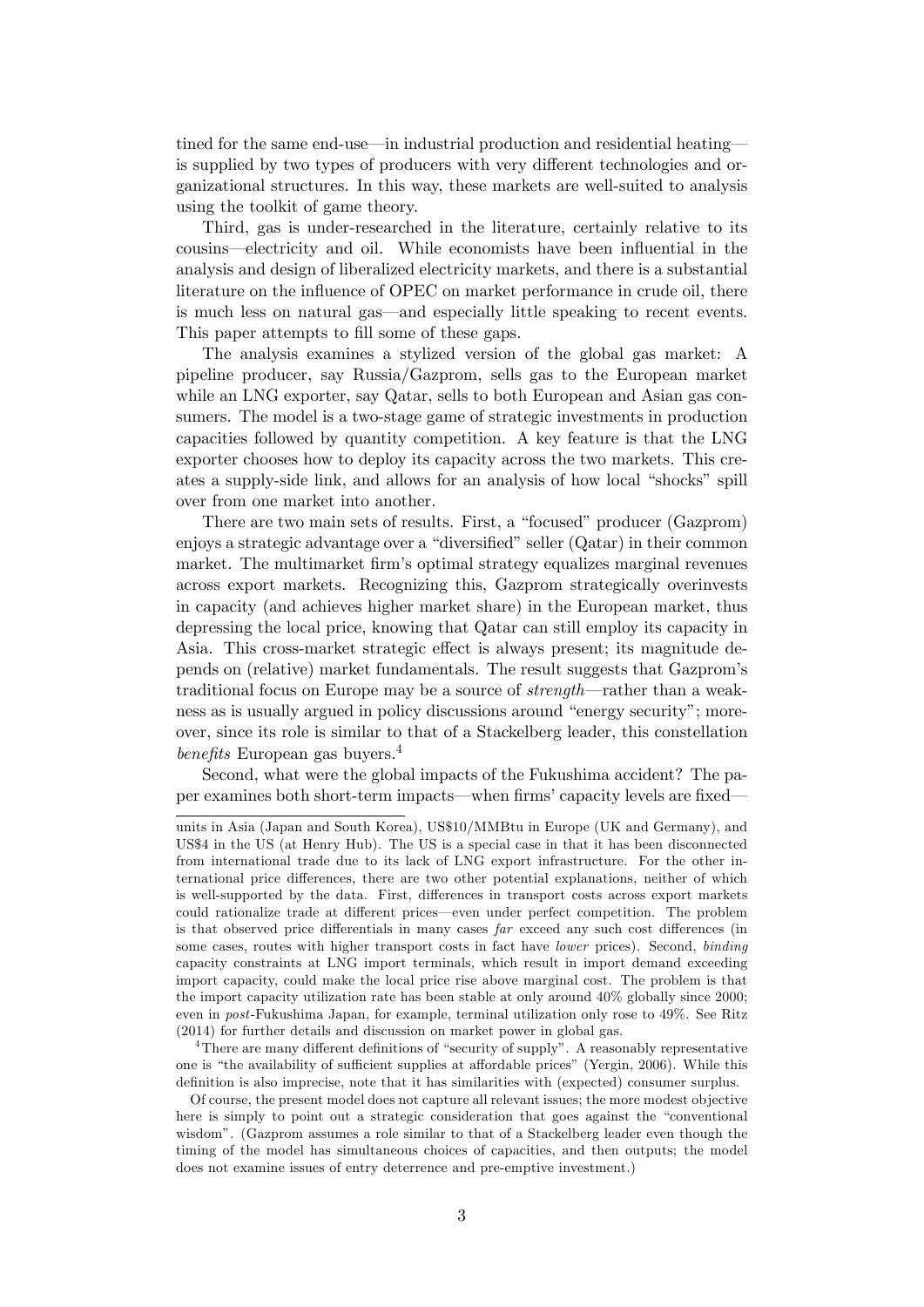tined for the same end-use—in industrial production and residential heatingis supplied by two types of producers with very different technologies and organizational structures. In this way, these markets are well-suited to analysis using the toolkit of game theory.

Third, gas is under-researched in the literature, certainly relative to its cousins—electricity and oil. While economists have been influential in the analysis and design of liberalized electricity markets, and there is a substantial literature on the influence of OPEC on market performance in crude oil, there is much less on natural gas—and especially little speaking to recent events. This paper attempts to fill some of these gaps.

The analysis examines a stylized version of the global gas market: A pipeline producer, say Russia/Gazprom, sells gas to the European market while an LNG exporter, say Qatar, sells to both European and Asian gas consumers. The model is a two-stage game of strategic investments in production capacities followed by quantity competition. A key feature is that the LNG exporter chooses how to deploy its capacity across the two markets. This creates a supply-side link, and allows for an analysis of how local "shocks" spill over from one market into another.

There are two main sets of results. First, a "focused" producer (Gazprom) enjoys a strategic advantage over a "diversified" seller  $(Qatar)$  in their common market. The multimarket firm's optimal strategy equalizes marginal revenues across export markets. Recognizing this, Gazprom strategically overinvests in capacity (and achieves higher market share) in the European market, thus depressing the local price, knowing that Qatar can still employ its capacity in Asia. This cross-market strategic effect is always present; its magnitude depends on (relative) market fundamentals. The result suggests that Gazpromís traditional focus on Europe may be a source of  $strength$ —rather than a weakness as is usually argued in policy discussions around "energy security"; moreover, since its role is similar to that of a Stackelberg leader, this constellation benefits European gas buyers.<sup>4</sup>

Second, what were the global impacts of the Fukushima accident? The paper examines both short-term impacts—when firms' capacity levels are fixed

<sup>4</sup>There are many different definitions of "security of supply". A reasonably representative one is "the availability of sufficient supplies at affordable prices" (Yergin, 2006). While this definition is also imprecise, note that it has similarities with (expected) consumer surplus.

Of course, the present model does not capture all relevant issues; the more modest objective here is simply to point out a strategic consideration that goes against the "conventional" wisdomî. (Gazprom assumes a role similar to that of a Stackelberg leader even though the timing of the model has simultaneous choices of capacities, and then outputs; the model does not examine issues of entry deterrence and pre-emptive investment.)

units in Asia (Japan and South Korea), US\$10/MMBtu in Europe (UK and Germany), and US\$4 in the US (at Henry Hub). The US is a special case in that it has been disconnected from international trade due to its lack of LNG export infrastructure. For the other international price differences, there are two other potential explanations, neither of which is well-supported by the data. First, differences in transport costs across export markets could rationalize trade at different prices—even under perfect competition. The problem is that observed price differentials in many cases  $far$  exceed any such cost differences (in some cases, routes with higher transport costs in fact have *lower* prices). Second, *binding* capacity constraints at LNG import terminals, which result in import demand exceeding import capacity, could make the local price rise above marginal cost. The problem is that the import capacity utilization rate has been stable at only around 40% globally since 2000; even in post-Fukushima Japan, for example, terminal utilization only rose to 49%. See Ritz (2014) for further details and discussion on market power in global gas.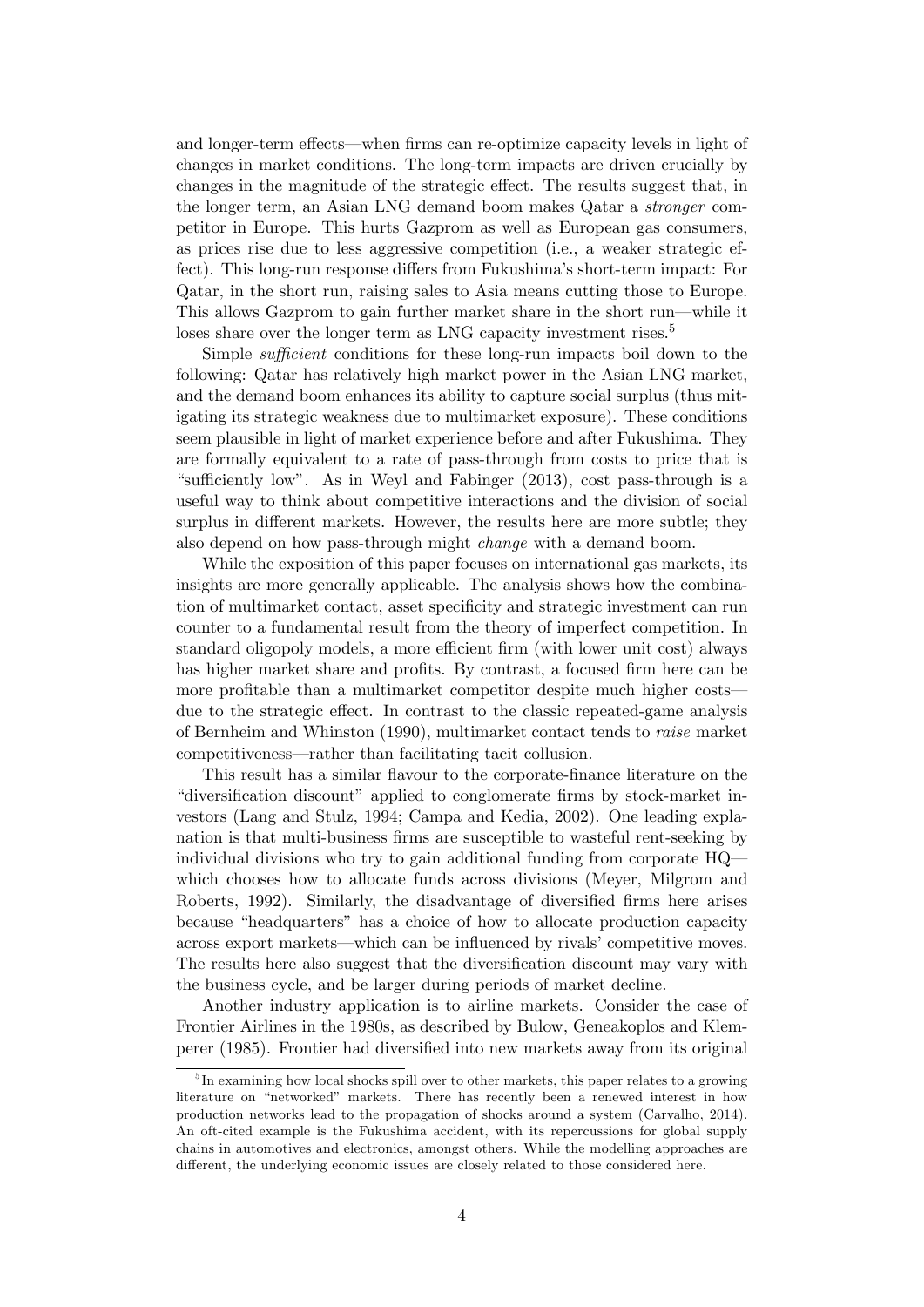and longer-term effects—when firms can re-optimize capacity levels in light of changes in market conditions. The long-term impacts are driven crucially by changes in the magnitude of the strategic effect. The results suggest that, in the longer term, an Asian LNG demand boom makes Qatar a stronger competitor in Europe. This hurts Gazprom as well as European gas consumers, as prices rise due to less aggressive competition (i.e., a weaker strategic effect). This long-run response differs from Fukushima's short-term impact: For Qatar, in the short run, raising sales to Asia means cutting those to Europe. This allows Gazprom to gain further market share in the short run—while it loses share over the longer term as LNG capacity investment rises.<sup>5</sup>

Simple *sufficient* conditions for these long-run impacts boil down to the following: Qatar has relatively high market power in the Asian LNG market, and the demand boom enhances its ability to capture social surplus (thus mitigating its strategic weakness due to multimarket exposure). These conditions seem plausible in light of market experience before and after Fukushima. They are formally equivalent to a rate of pass-through from costs to price that is "sufficiently low". As in Weyl and Fabinger  $(2013)$ , cost pass-through is a useful way to think about competitive interactions and the division of social surplus in different markets. However, the results here are more subtle; they also depend on how pass-through might change with a demand boom.

While the exposition of this paper focuses on international gas markets, its insights are more generally applicable. The analysis shows how the combination of multimarket contact, asset specificity and strategic investment can run counter to a fundamental result from the theory of imperfect competition. In standard oligopoly models, a more efficient firm (with lower unit cost) always has higher market share and profits. By contrast, a focused firm here can be more profitable than a multimarket competitor despite much higher costs due to the strategic effect. In contrast to the classic repeated-game analysis of Bernheim and Whinston (1990), multimarket contact tends to raise market competitiveness—rather than facilitating tacit collusion.

This result has a similar flavour to the corporate-finance literature on the "diversification discount" applied to conglomerate firms by stock-market investors (Lang and Stulz, 1994; Campa and Kedia, 2002). One leading explanation is that multi-business firms are susceptible to wasteful rent-seeking by individual divisions who try to gain additional funding from corporate  $HQ$ which chooses how to allocate funds across divisions (Meyer, Milgrom and Roberts, 1992). Similarly, the disadvantage of diversified firms here arises because "headquarters" has a choice of how to allocate production capacity across export markets—which can be influenced by rivals' competitive moves. The results here also suggest that the diversification discount may vary with the business cycle, and be larger during periods of market decline.

Another industry application is to airline markets. Consider the case of Frontier Airlines in the 1980s, as described by Bulow, Geneakoplos and Klemperer (1985). Frontier had diversiÖed into new markets away from its original

<sup>&</sup>lt;sup>5</sup>In examining how local shocks spill over to other markets, this paper relates to a growing literature on "networked" markets. There has recently been a renewed interest in how production networks lead to the propagation of shocks around a system (Carvalho, 2014). An oft-cited example is the Fukushima accident, with its repercussions for global supply chains in automotives and electronics, amongst others. While the modelling approaches are different, the underlying economic issues are closely related to those considered here.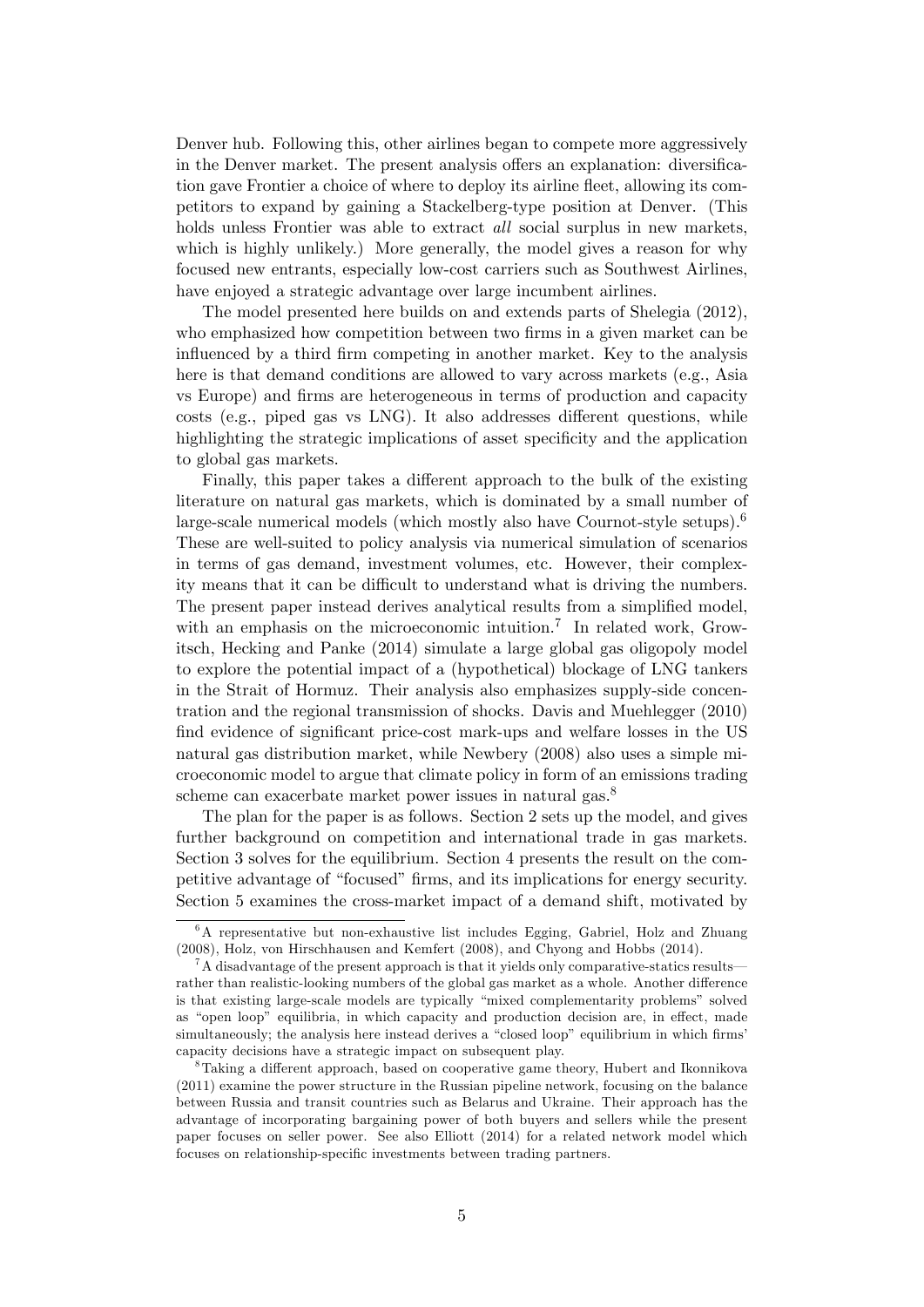Denver hub. Following this, other airlines began to compete more aggressively in the Denver market. The present analysis offers an explanation: diversification gave Frontier a choice of where to deploy its airline fleet, allowing its competitors to expand by gaining a Stackelberg-type position at Denver. (This holds unless Frontier was able to extract all social surplus in new markets, which is highly unlikely.) More generally, the model gives a reason for why focused new entrants, especially low-cost carriers such as Southwest Airlines, have enjoyed a strategic advantage over large incumbent airlines.

The model presented here builds on and extends parts of Shelegia (2012), who emphasized how competition between two firms in a given market can be influenced by a third firm competing in another market. Key to the analysis here is that demand conditions are allowed to vary across markets (e.g., Asia vs Europe) and Örms are heterogeneous in terms of production and capacity costs (e.g., piped gas vs LNG). It also addresses different questions, while highlighting the strategic implications of asset specificity and the application to global gas markets.

Finally, this paper takes a different approach to the bulk of the existing literature on natural gas markets, which is dominated by a small number of large-scale numerical models (which mostly also have Cournot-style setups).<sup>6</sup> These are well-suited to policy analysis via numerical simulation of scenarios in terms of gas demand, investment volumes, etc. However, their complexity means that it can be difficult to understand what is driving the numbers. The present paper instead derives analytical results from a simplified model, with an emphasis on the microeconomic intuition.<sup>7</sup> In related work, Growitsch, Hecking and Panke (2014) simulate a large global gas oligopoly model to explore the potential impact of a (hypothetical) blockage of LNG tankers in the Strait of Hormuz. Their analysis also emphasizes supply-side concentration and the regional transmission of shocks. Davis and Muehlegger (2010) find evidence of significant price-cost mark-ups and welfare losses in the US natural gas distribution market, while Newbery (2008) also uses a simple microeconomic model to argue that climate policy in form of an emissions trading scheme can exacerbate market power issues in natural gas.<sup>8</sup>

The plan for the paper is as follows. Section 2 sets up the model, and gives further background on competition and international trade in gas markets. Section 3 solves for the equilibrium. Section 4 presents the result on the competitive advantage of "focused" firms, and its implications for energy security. Section 5 examines the cross-market impact of a demand shift, motivated by

<sup>&</sup>lt;sup>6</sup>A representative but non-exhaustive list includes Egging, Gabriel, Holz and Zhuang (2008), Holz, von Hirschhausen and Kemfert (2008), and Chyong and Hobbs (2014).

 ${}^{7}$ A disadvantage of the present approach is that it yields only comparative-statics results rather than realistic-looking numbers of the global gas market as a whole. Another difference is that existing large-scale models are typically "mixed complementarity problems" solved as "open loop" equilibria, in which capacity and production decision are, in effect, made simultaneously; the analysis here instead derives a "closed loop" equilibrium in which firms' capacity decisions have a strategic impact on subsequent play.

 $8$ Taking a different approach, based on cooperative game theory, Hubert and Ikonnikova (2011) examine the power structure in the Russian pipeline network, focusing on the balance between Russia and transit countries such as Belarus and Ukraine. Their approach has the advantage of incorporating bargaining power of both buyers and sellers while the present paper focuses on seller power. See also Elliott (2014) for a related network model which focuses on relationship-specific investments between trading partners.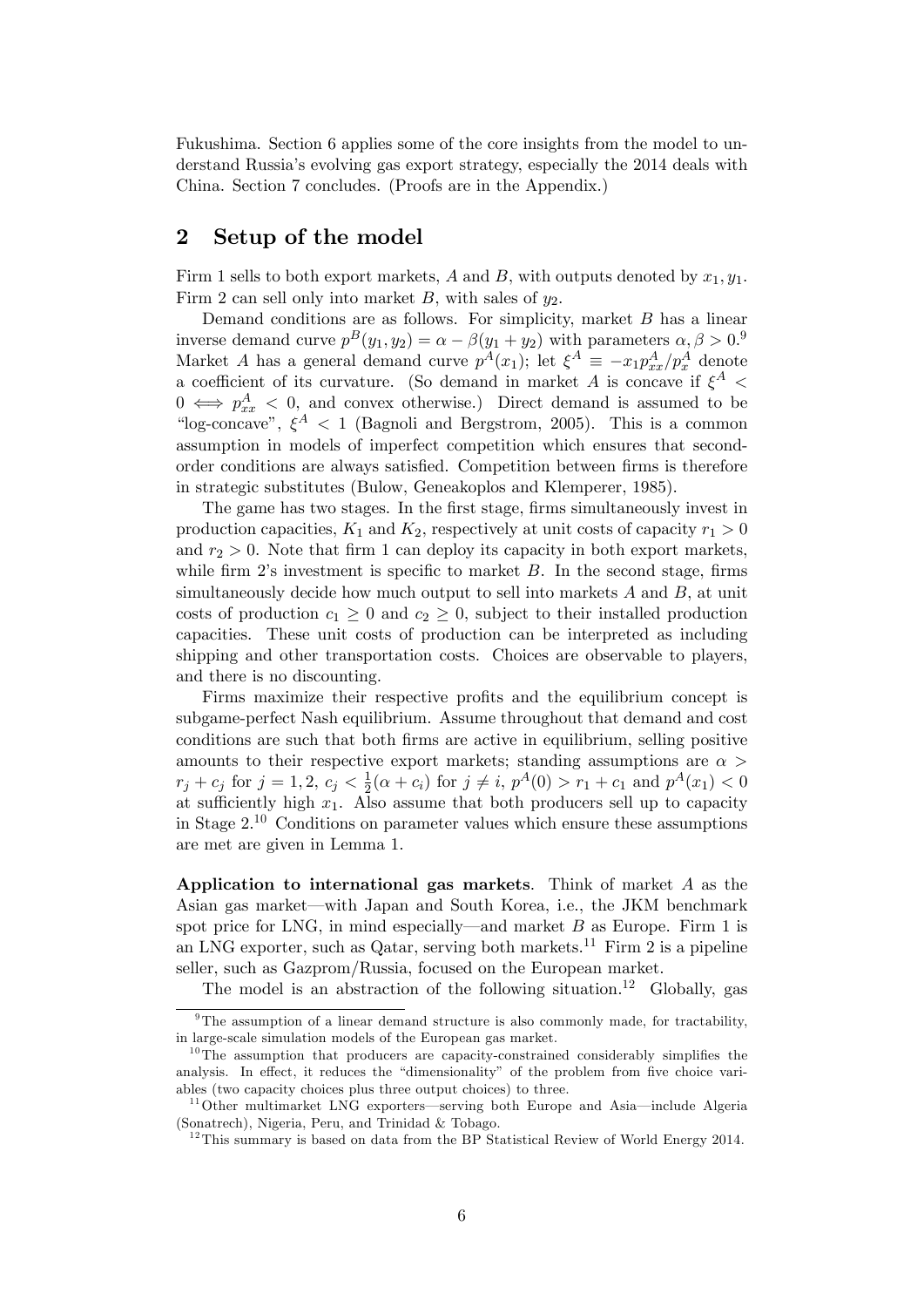Fukushima. Section 6 applies some of the core insights from the model to understand Russiaís evolving gas export strategy, especially the 2014 deals with China. Section 7 concludes. (Proofs are in the Appendix.)

# 2 Setup of the model

Firm 1 sells to both export markets, A and B, with outputs denoted by  $x_1, y_1$ . Firm 2 can sell only into market B, with sales of  $y_2$ .

Demand conditions are as follows. For simplicity, market  $B$  has a linear inverse demand curve  $p^B(y_1, y_2) = \alpha - \beta(y_1 + y_2)$  with parameters  $\alpha, \beta > 0$ . Market A has a general demand curve  $p^A(x_1)$ ; let  $\xi^A \equiv -x_1 p^A_{xx}/p^A_x$  denote a coefficient of its curvature. (So demand in market A is concave if  $\xi^A$  <  $0 \iff p_{xx}^A < 0$ , and convex otherwise.) Direct demand is assumed to be "log-concave",  $\xi^A$  < 1 (Bagnoli and Bergstrom, 2005). This is a common assumption in models of imperfect competition which ensures that secondorder conditions are always satisfied. Competition between firms is therefore in strategic substitutes (Bulow, Geneakoplos and Klemperer, 1985).

The game has two stages. In the first stage, firms simultaneously invest in production capacities,  $K_1$  and  $K_2$ , respectively at unit costs of capacity  $r_1 > 0$ and  $r_2 > 0$ . Note that firm 1 can deploy its capacity in both export markets, while firm  $2$ 's investment is specific to market  $B$ . In the second stage, firms simultaneously decide how much output to sell into markets  $A$  and  $B$ , at unit costs of production  $c_1 \geq 0$  and  $c_2 \geq 0$ , subject to their installed production capacities. These unit costs of production can be interpreted as including shipping and other transportation costs. Choices are observable to players, and there is no discounting.

Firms maximize their respective profits and the equilibrium concept is subgame-perfect Nash equilibrium. Assume throughout that demand and cost conditions are such that both Örms are active in equilibrium, selling positive amounts to their respective export markets; standing assumptions are  $\alpha$  $r_j + c_j \text{ for } j = 1, 2, c_j < \frac{1}{2}$  $\frac{1}{2}(\alpha + c_i)$  for  $j \neq i$ ,  $p^A(0) > r_1 + c_1$  and  $p^A(x_1) < 0$ at sufficiently high  $x_1$ . Also assume that both producers sell up to capacity in Stage  $2^{10}$  Conditions on parameter values which ensure these assumptions are met are given in Lemma 1.

Application to international gas markets. Think of market A as the Asian gas market—with Japan and South Korea, i.e., the JKM benchmark spot price for LNG, in mind especially—and market  $B$  as Europe. Firm 1 is an LNG exporter, such as Qatar, serving both markets.<sup>11</sup> Firm 2 is a pipeline seller, such as Gazprom/Russia, focused on the European market.

The model is an abstraction of the following situation.<sup>12</sup> Globally, gas

<sup>&</sup>lt;sup>9</sup>The assumption of a linear demand structure is also commonly made, for tractability, in large-scale simulation models of the European gas market.

 $10$ The assumption that producers are capacity-constrained considerably simplifies the analysis. In effect, it reduces the "dimensionality" of the problem from five choice variables (two capacity choices plus three output choices) to three.

 $11$ Other multimarket LNG exporters—serving both Europe and Asia—include Algeria (Sonatrech), Nigeria, Peru, and Trinidad & Tobago.

 $12$ This summary is based on data from the BP Statistical Review of World Energy 2014.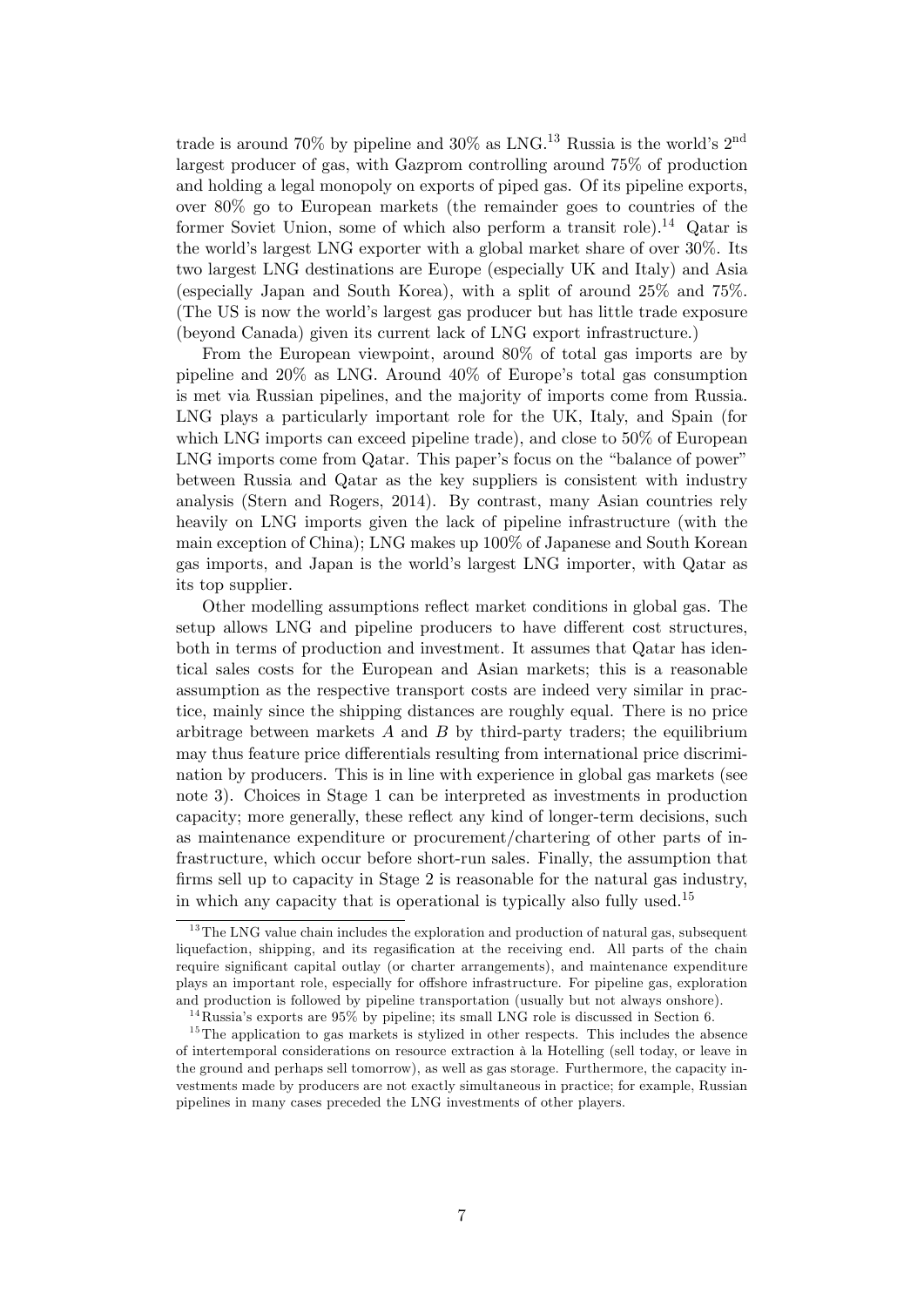trade is around 70% by pipeline and 30% as LNG.<sup>13</sup> Russia is the world's  $2<sup>nd</sup>$ largest producer of gas, with Gazprom controlling around 75% of production and holding a legal monopoly on exports of piped gas. Of its pipeline exports, over 80% go to European markets (the remainder goes to countries of the former Soviet Union, some of which also perform a transit role).<sup>14</sup> Qatar is the world's largest LNG exporter with a global market share of over 30%. Its two largest LNG destinations are Europe (especially UK and Italy) and Asia (especially Japan and South Korea), with a split of around 25% and 75%. (The US is now the worldís largest gas producer but has little trade exposure (beyond Canada) given its current lack of LNG export infrastructure.)

From the European viewpoint, around 80% of total gas imports are by pipeline and  $20\%$  as LNG. Around  $40\%$  of Europe's total gas consumption is met via Russian pipelines, and the majority of imports come from Russia. LNG plays a particularly important role for the UK, Italy, and Spain (for which LNG imports can exceed pipeline trade), and close to 50% of European LNG imports come from Qatar. This paper's focus on the "balance of power" between Russia and Qatar as the key suppliers is consistent with industry analysis (Stern and Rogers, 2014). By contrast, many Asian countries rely heavily on LNG imports given the lack of pipeline infrastructure (with the main exception of China); LNG makes up 100% of Japanese and South Korean gas imports, and Japan is the world's largest LNG importer, with Qatar as its top supplier.

Other modelling assumptions reflect market conditions in global gas. The setup allows LNG and pipeline producers to have different cost structures, both in terms of production and investment. It assumes that Qatar has identical sales costs for the European and Asian markets; this is a reasonable assumption as the respective transport costs are indeed very similar in practice, mainly since the shipping distances are roughly equal. There is no price arbitrage between markets  $A$  and  $B$  by third-party traders; the equilibrium may thus feature price differentials resulting from international price discrimination by producers. This is in line with experience in global gas markets (see note 3). Choices in Stage 1 can be interpreted as investments in production capacity; more generally, these reflect any kind of longer-term decisions, such as maintenance expenditure or procurement/chartering of other parts of infrastructure, which occur before short-run sales. Finally, the assumption that firms sell up to capacity in Stage 2 is reasonable for the natural gas industry, in which any capacity that is operational is typically also fully used.<sup>15</sup>

<sup>&</sup>lt;sup>13</sup>The LNG value chain includes the exploration and production of natural gas, subsequent liquefaction, shipping, and its regasification at the receiving end. All parts of the chain require significant capital outlay (or charter arrangements), and maintenance expenditure plays an important role, especially for offshore infrastructure. For pipeline gas, exploration and production is followed by pipeline transportation (usually but not always onshore).

 $14$ Russia's exports are 95% by pipeline; its small LNG role is discussed in Section 6.

 $15$ The application to gas markets is stylized in other respects. This includes the absence of intertemporal considerations on resource extraction ‡ la Hotelling (sell today, or leave in the ground and perhaps sell tomorrow), as well as gas storage. Furthermore, the capacity investments made by producers are not exactly simultaneous in practice; for example, Russian pipelines in many cases preceded the LNG investments of other players.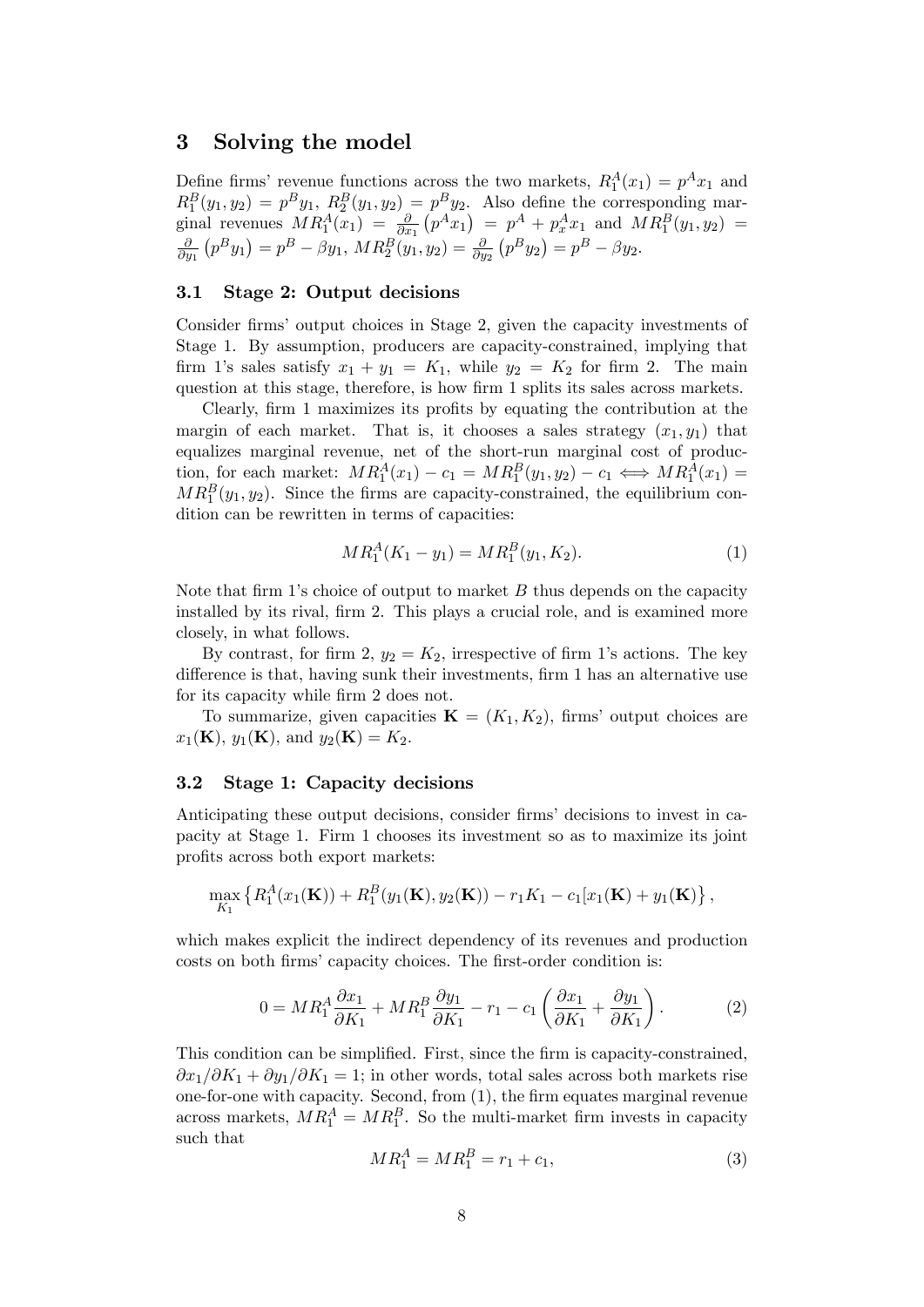### 3 Solving the model

Define firms' revenue functions across the two markets,  $R_1^A(x_1) = p^A x_1$  and  $R_1^B(y_1, y_2) = p^B y_1, R_2^B(y_1, y_2) = p^B y_2.$  Also define the corresponding marginal revenues  $MR_1^A(x_1) = \frac{\partial}{\partial x_1}(p^Ax_1) = p^A + p_x^Ax_1$  and  $MR_1^B(y_1, y_2) =$ @  $\frac{\partial}{\partial y_1}(p^By_1) = p^B - \beta y_1, MR_2^B(y_1, y_2) = \frac{\partial}{\partial y_2}(p^By_2) = p^B - \beta y_2.$ 

#### 3.1 Stage 2: Output decisions

Consider firms' output choices in Stage 2, given the capacity investments of Stage 1. By assumption, producers are capacity-constrained, implying that firm 1's sales satisfy  $x_1 + y_1 = K_1$ , while  $y_2 = K_2$  for firm 2. The main question at this stage, therefore, is how firm 1 splits its sales across markets.

Clearly, firm 1 maximizes its profits by equating the contribution at the margin of each market. That is, it chooses a sales strategy  $(x_1, y_1)$  that equalizes marginal revenue, net of the short-run marginal cost of production, for each market:  $MR_1^A(x_1) - c_1 = MR_1^B(y_1, y_2) - c_1 \iff MR_1^A(x_1) =$  $MR_1^B(y_1, y_2)$ . Since the firms are capacity-constrained, the equilibrium condition can be rewritten in terms of capacities:

$$
MR_1^A(K_1 - y_1) = MR_1^B(y_1, K_2). \tag{1}
$$

Note that firm 1's choice of output to market  $B$  thus depends on the capacity installed by its rival, firm 2. This plays a crucial role, and is examined more closely, in what follows.

By contrast, for firm 2,  $y_2 = K_2$ , irrespective of firm 1's actions. The key difference is that, having sunk their investments, firm 1 has an alternative use for its capacity while firm 2 does not.

To summarize, given capacities  $\mathbf{K} = (K_1, K_2)$ , firms' output choices are  $x_1(\mathbf{K}), y_1(\mathbf{K}), \text{ and } y_2(\mathbf{K}) = K_2.$ 

#### 3.2 Stage 1: Capacity decisions

Anticipating these output decisions, consider firms' decisions to invest in capacity at Stage 1. Firm 1 chooses its investment so as to maximize its joint profits across both export markets:

$$
\max_{K_1} \left\{ R_1^A(x_1(\mathbf{K})) + R_1^B(y_1(\mathbf{K}), y_2(\mathbf{K})) - r_1 K_1 - c_1[x_1(\mathbf{K}) + y_1(\mathbf{K})] \right\},\
$$

which makes explicit the indirect dependency of its revenues and production costs on both firms' capacity choices. The first-order condition is:

$$
0 = MR_1^A \frac{\partial x_1}{\partial K_1} + MR_1^B \frac{\partial y_1}{\partial K_1} - r_1 - c_1 \left( \frac{\partial x_1}{\partial K_1} + \frac{\partial y_1}{\partial K_1} \right). \tag{2}
$$

This condition can be simplified. First, since the firm is capacity-constrained,  $\partial x_1/\partial K_1 + \partial y_1/\partial K_1 = 1$ ; in other words, total sales across both markets rise one-for-one with capacity. Second, from  $(1)$ , the firm equates marginal revenue across markets,  $MR_1^A = MR_1^B$ . So the multi-market firm invests in capacity such that

$$
MR_1^A = MR_1^B = r_1 + c_1,\tag{3}
$$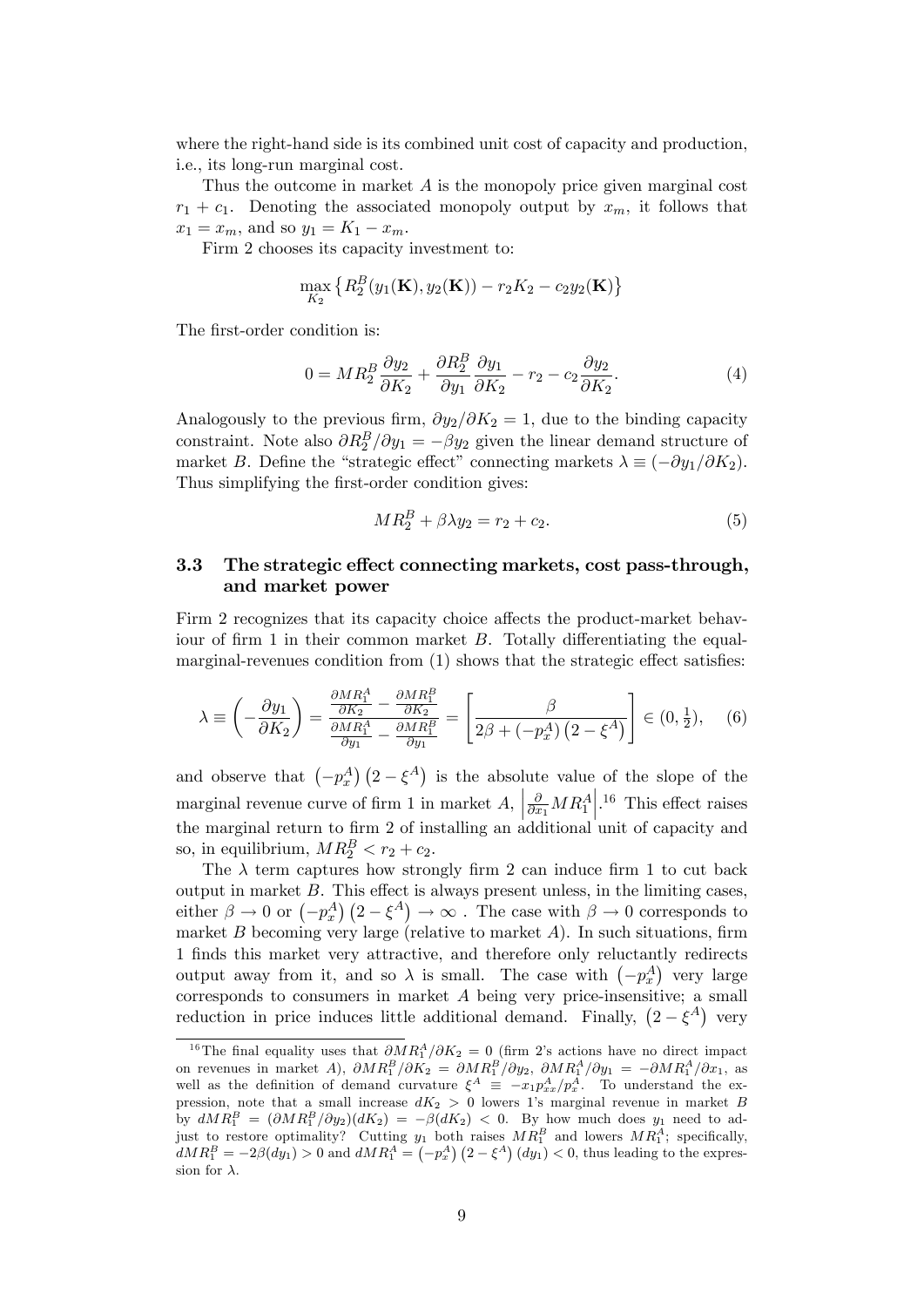where the right-hand side is its combined unit cost of capacity and production, i.e., its long-run marginal cost.

Thus the outcome in market  $A$  is the monopoly price given marginal cost  $r_1 + c_1$ . Denoting the associated monopoly output by  $x_m$ , it follows that  $x_1 = x_m$ , and so  $y_1 = K_1 - x_m$ .

Firm 2 chooses its capacity investment to:

$$
\max_{K_2} \left\{ R_2^B(y_1(\mathbf{K}), y_2(\mathbf{K})) - r_2K_2 - c_2y_2(\mathbf{K}) \right\}
$$

The first-order condition is:

$$
0 = MR_2^B \frac{\partial y_2}{\partial K_2} + \frac{\partial R_2^B}{\partial y_1} \frac{\partial y_1}{\partial K_2} - r_2 - c_2 \frac{\partial y_2}{\partial K_2}.\tag{4}
$$

Analogously to the previous firm,  $\partial y_2/\partial K_2 = 1$ , due to the binding capacity constraint. Note also  $\partial R_2^B / \partial y_1 = -\beta y_2$  given the linear demand structure of market B. Define the "strategic effect" connecting markets  $\lambda \equiv (-\partial y_1/\partial K_2)$ . Thus simplifying the first-order condition gives:

$$
MR_2^B + \beta \lambda y_2 = r_2 + c_2. \tag{5}
$$

### 3.3 The strategic effect connecting markets, cost pass-through, and market power

Firm 2 recognizes that its capacity choice affects the product-market behaviour of firm 1 in their common market  $B$ . Totally differentiating the equalmarginal-revenues condition from  $(1)$  shows that the strategic effect satisfies:

$$
\lambda \equiv \left(-\frac{\partial y_1}{\partial K_2}\right) = \frac{\frac{\partial MR_1^A}{\partial K_2} - \frac{\partial MR_1^B}{\partial K_2}}{\frac{\partial MR_1^A}{\partial y_1} - \frac{\partial MR_1^B}{\partial y_1}} = \left[\frac{\beta}{2\beta + \left(-p_x^A\right)\left(2 - \xi^A\right)}\right] \in (0, \frac{1}{2}), \quad (6)
$$

and observe that  $(-p_x^A)(2-\xi^A)$  is the absolute value of the slope of the marginal revenue curve of firm 1 in market  $A$ ,  $\frac{\partial}{\partial x_1} M R_1^A$  $\left| \cdot \right|^{16}$  This effect raises the marginal return to firm 2 of installing an additional unit of capacity and so, in equilibrium,  $MR_2^B < r_2 + c_2$ .

The  $\lambda$  term captures how strongly firm 2 can induce firm 1 to cut back output in market  $B$ . This effect is always present unless, in the limiting cases, either  $\beta \to 0$  or  $(-p_x^A)$   $(2-\xi^A) \to \infty$ . The case with  $\beta \to 0$  corresponds to market  $B$  becoming very large (relative to market  $A$ ). In such situations, firm 1 Önds this market very attractive, and therefore only reluctantly redirects output away from it, and so  $\lambda$  is small. The case with  $(-p_x^A)$  very large corresponds to consumers in market  $A$  being very price-insensitive; a small reduction in price induces little additional demand. Finally,  $(2 - \xi^A)$  very

<sup>&</sup>lt;sup>16</sup>The final equality uses that  $\partial MR_1^A/\partial K_2 = 0$  (firm 2's actions have no direct impact on revenues in market A),  $\partial MR_1^B/\partial K_2 = \partial MR_1^B/\partial y_2$ ,  $\partial MR_1^A/\partial y_1 = -\partial MR_1^A/\partial x_1$ , as well as the definition of demand curvature  $\xi^A \equiv -x_1 p_{xx}^A / p_x^A$ . To understand the expression, note that a small increase  $dK_2 > 0$  lowers 1's marginal revenue in market B by  $dMR_1^B = (\partial MR_1^B/\partial y_2)(dK_2) = -\beta(dK_2) < 0$ . By how much does  $y_1$  need to adjust to restore optimality? Cutting  $y_1$  both raises  $MR_1^B$  and lowers  $MR_1^A$ ; specifically,  $dMR_1^B = -2\beta(dy_1) > 0$  and  $dMR_1^A = (-p_x^A)(2 - \xi^A)(dy_1) < 0$ , thus leading to the expression for  $\lambda$ .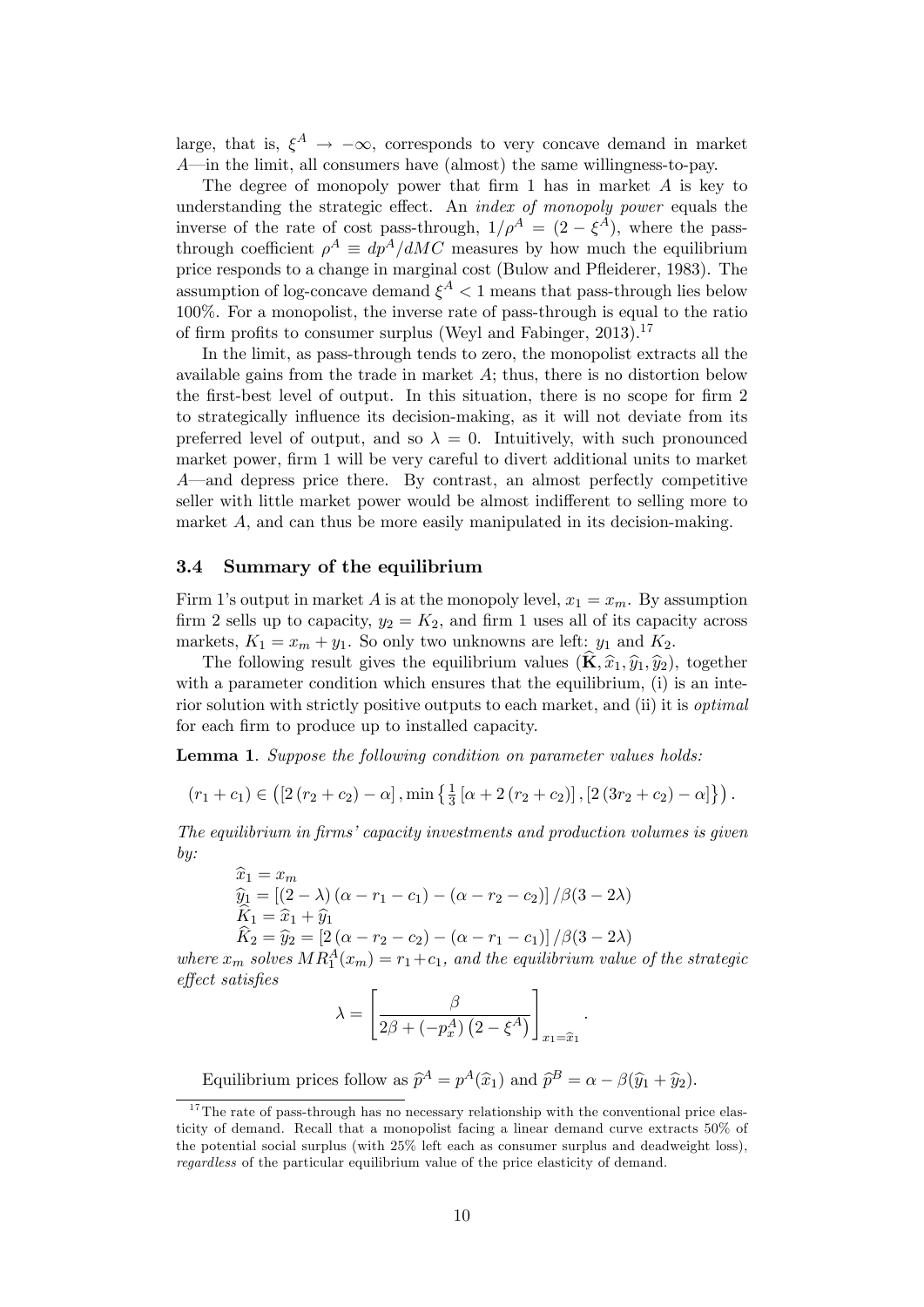large, that is,  $\xi^A \to -\infty$ , corresponds to very concave demand in market  $A$ —in the limit, all consumers have (almost) the same willingness-to-pay.

The degree of monopoly power that firm 1 has in market  $A$  is key to understanding the strategic effect. An *index of monopoly power* equals the inverse of the rate of cost pass-through,  $1/\rho^A = (2 - \xi^A)$ , where the passthrough coefficient  $\rho^A \equiv dp^A/dMC$  measures by how much the equilibrium price responds to a change in marginal cost (Bulow and Pfleiderer, 1983). The assumption of log-concave demand  $\xi^A < 1$  means that pass-through lies below 100%. For a monopolist, the inverse rate of pass-through is equal to the ratio of firm profits to consumer surplus (Weyl and Fabinger, 2013).<sup>17</sup>

In the limit, as pass-through tends to zero, the monopolist extracts all the available gains from the trade in market  $A$ ; thus, there is no distortion below the first-best level of output. In this situation, there is no scope for firm 2 to strategically ináuence its decision-making, as it will not deviate from its preferred level of output, and so  $\lambda = 0$ . Intuitively, with such pronounced market power, firm 1 will be very careful to divert additional units to market  $A$ —and depress price there. By contrast, an almost perfectly competitive seller with little market power would be almost indifferent to selling more to market  $A$ , and can thus be more easily manipulated in its decision-making.

#### 3.4 Summary of the equilibrium

Firm 1's output in market A is at the monopoly level,  $x_1 = x_m$ . By assumption firm 2 sells up to capacity,  $y_2 = K_2$ , and firm 1 uses all of its capacity across markets,  $K_1 = x_m + y_1$ . So only two unknowns are left:  $y_1$  and  $K_2$ .

The following result gives the equilibrium values  $(\mathbf{\hat{K}}, \hat{x}_1, \hat{y}_1, \hat{y}_2)$ , together with a parameter condition which ensures that the equilibrium, (i) is an interior solution with strictly positive outputs to each market, and (ii) it is optimal for each firm to produce up to installed capacity.

Lemma 1. Suppose the following condition on parameter values holds:

$$
(r_1 + c_1) \in ([2 (r_2 + c_2) - \alpha], \min \left\{ \frac{1}{3} [\alpha + 2 (r_2 + c_2)], [2 (3r_2 + c_2) - \alpha] \right\}).
$$

The equilibrium in firms' capacity investments and production volumes is given by:

$$
\hat{x}_1 = x_m
$$
  
\n
$$
\hat{y}_1 = [(2 - \lambda) (\alpha - r_1 - c_1) - (\alpha - r_2 - c_2)] / \beta (3 - 2\lambda)
$$
  
\n
$$
\hat{K}_1 = \hat{x}_1 + \hat{y}_1
$$
  
\n
$$
\hat{K}_2 = \hat{y}_2 = [2 (\alpha - r_2 - c_2) - (\alpha - r_1 - c_1)] / \beta (3 - 2\lambda)
$$

where  $x_m$  solves  $MR_1^A(x_m) = r_1+c_1$ , and the equilibrium value of the strategic effect satisfies

$$
\lambda = \left[\frac{\beta}{2\beta + (-p_x^A)\left(2 - \xi^A\right)}\right]_{x_1 = \widehat{x}_1}.
$$

Equilibrium prices follow as  $\hat{p}^A = p^A(\hat{x}_1)$  and  $\hat{p}^B = \alpha - \beta(\hat{y}_1 + \hat{y}_2)$ .

 $17$ The rate of pass-through has no necessary relationship with the conventional price elasticity of demand. Recall that a monopolist facing a linear demand curve extracts 50% of the potential social surplus (with 25% left each as consumer surplus and deadweight loss), regardless of the particular equilibrium value of the price elasticity of demand.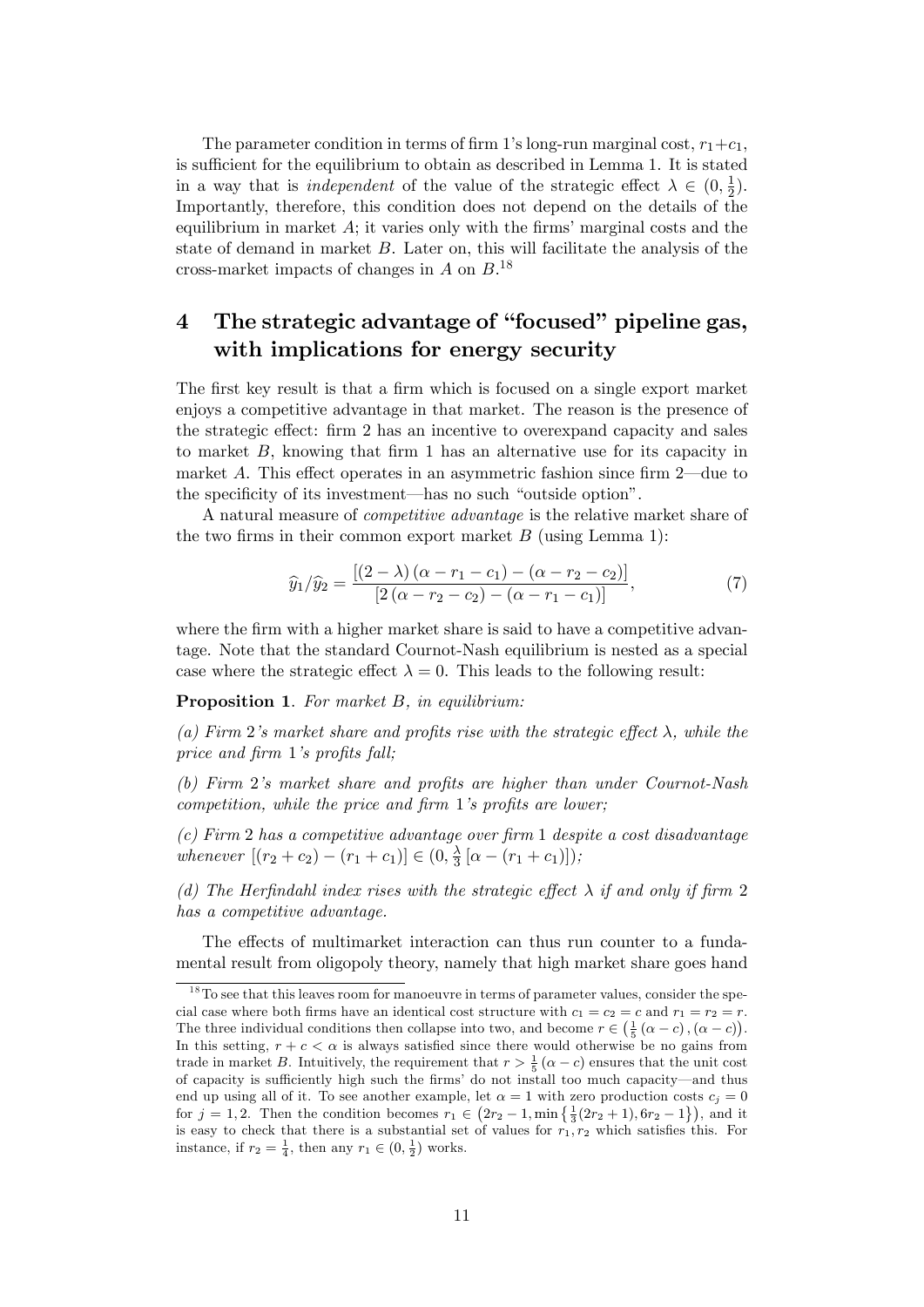The parameter condition in terms of firm 1's long-run marginal cost,  $r_1+c_1$ , is sufficient for the equilibrium to obtain as described in Lemma 1. It is stated in a way that is *independent* of the value of the strategic effect  $\lambda \in (0, \frac{1}{2})$  $(\frac{1}{2})$ . Importantly, therefore, this condition does not depend on the details of the equilibrium in market  $A$ ; it varies only with the firms' marginal costs and the state of demand in market  $B$ . Later on, this will facilitate the analysis of the cross-market impacts of changes in  $A$  on  $B$ .<sup>18</sup>

# 4 The strategic advantage of "focused" pipeline gas, with implications for energy security

The first key result is that a firm which is focused on a single export market enjoys a competitive advantage in that market. The reason is the presence of the strategic effect: firm 2 has an incentive to overexpand capacity and sales to market  $B$ , knowing that firm 1 has an alternative use for its capacity in market A. This effect operates in an asymmetric fashion since firm  $2$ —due to the specificity of its investment—has no such "outside option".

A natural measure of *competitive advantage* is the relative market share of the two firms in their common export market  $B$  (using Lemma 1):

$$
\widehat{y}_1/\widehat{y}_2 = \frac{[(2-\lambda)(\alpha - r_1 - c_1) - (\alpha - r_2 - c_2)]}{[2(\alpha - r_2 - c_2) - (\alpha - r_1 - c_1)]},\tag{7}
$$

where the firm with a higher market share is said to have a competitive advantage. Note that the standard Cournot-Nash equilibrium is nested as a special case where the strategic effect  $\lambda = 0$ . This leads to the following result:

Proposition 1. For market B, in equilibrium:

(a) Firm 2's market share and profits rise with the strategic effect  $\lambda$ , while the price and firm  $1$ 's profits fall;

(b) Firm  $2$ 's market share and profits are higher than under Cournot-Nash competition, while the price and firm  $1$ 's profits are lower;

 $(c)$  Firm 2 has a competitive advantage over firm 1 despite a cost disadvantage whenever  $[(r_2 + c_2) - (r_1 + c_1)] \in (0, \frac{\lambda}{3})$  $\frac{\lambda}{3} [\alpha - (r_1 + c_1)]$ );

(d) The Herfindahl index rises with the strategic effect  $\lambda$  if and only if firm 2 has a competitive advantage.

The effects of multimarket interaction can thus run counter to a fundamental result from oligopoly theory, namely that high market share goes hand

 $18$ To see that this leaves room for manoeuvre in terms of parameter values, consider the special case where both firms have an identical cost structure with  $c_1 = c_2 = c$  and  $r_1 = r_2 = r$ . The three individual conditions then collapse into two, and become  $r \in (\frac{1}{5} (\alpha - c), (\alpha - c))$ . In this setting,  $r + c < \alpha$  is always satisfied since there would otherwise be no gains from trade in market B. Intuitively, the requirement that  $r > \frac{1}{5} (\alpha - c)$  ensures that the unit cost of capacity is sufficiently high such the firms' do not install too much capacity—and thus end up using all of it. To see another example, let  $\alpha = 1$  with zero production costs  $c_i = 0$ for  $j = 1, 2$ . Then the condition becomes  $r_1 \in (2r_2 - 1, \min\{\frac{1}{3}(2r_2 + 1), 6r_2 - 1\})$ , and it is easy to check that there is a substantial set of values for  $r_1, r_2$  which satisfies this. For instance, if  $r_2 = \frac{1}{4}$ , then any  $r_1 \in (0, \frac{1}{2})$  works.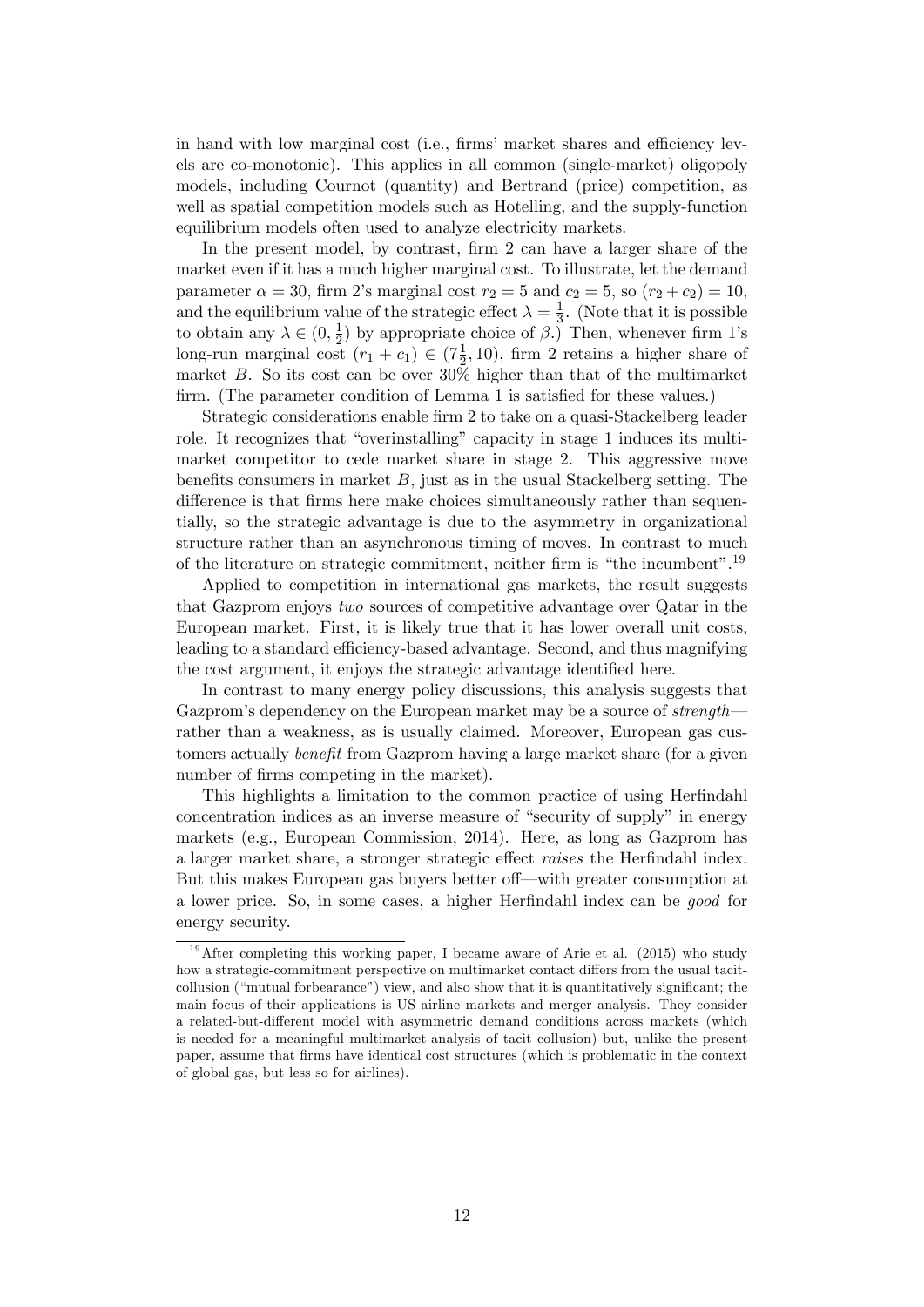in hand with low marginal cost (i.e., firms' market shares and efficiency levels are co-monotonic). This applies in all common (single-market) oligopoly models, including Cournot (quantity) and Bertrand (price) competition, as well as spatial competition models such as Hotelling, and the supply-function equilibrium models often used to analyze electricity markets.

In the present model, by contrast, firm 2 can have a larger share of the market even if it has a much higher marginal cost. To illustrate, let the demand parameter  $\alpha = 30$ , firm 2's marginal cost  $r_2 = 5$  and  $c_2 = 5$ , so  $(r_2 + c_2) = 10$ , and the equilibrium value of the strategic effect  $\lambda = \frac{1}{3}$  $\frac{1}{3}$ . (Note that it is possible to obtain any  $\lambda \in (0, \frac{1}{2})$  $\frac{1}{2}$ ) by appropriate choice of  $\beta$ .) Then, whenever firm 1's long-run marginal cost  $(r_1 + c_1) \in (7\frac{1}{2}, 10)$ , firm 2 retains a higher share of market  $B$ . So its cost can be over  $30\%$  higher than that of the multimarket firm. (The parameter condition of Lemma 1 is satisfied for these values.)

Strategic considerations enable Örm 2 to take on a quasi-Stackelberg leader role. It recognizes that "overinstalling" capacity in stage 1 induces its multimarket competitor to cede market share in stage 2. This aggressive move benefits consumers in market  $B$ , just as in the usual Stackelberg setting. The difference is that firms here make choices simultaneously rather than sequentially, so the strategic advantage is due to the asymmetry in organizational structure rather than an asynchronous timing of moves. In contrast to much of the literature on strategic commitment, neither firm is "the incumbent".<sup>19</sup>

Applied to competition in international gas markets, the result suggests that Gazprom enjoys two sources of competitive advantage over Qatar in the European market. First, it is likely true that it has lower overall unit costs, leading to a standard efficiency-based advantage. Second, and thus magnifying the cost argument, it enjoys the strategic advantage identified here.

In contrast to many energy policy discussions, this analysis suggests that Gazprom's dependency on the European market may be a source of  $strength$ rather than a weakness, as is usually claimed. Moreover, European gas customers actually *benefit* from Gazprom having a large market share (for a given number of firms competing in the market).

This highlights a limitation to the common practice of using Herfindahl concentration indices as an inverse measure of "security of supply" in energy markets (e.g., European Commission, 2014). Here, as long as Gazprom has a larger market share, a stronger strategic effect raises the Herfindahl index. But this makes European gas buyers better of f—with greater consumption at a lower price. So, in some cases, a higher Herfindahl index can be good for energy security.

<sup>&</sup>lt;sup>19</sup>After completing this working paper, I became aware of Arie et al. (2015) who study how a strategic-commitment perspective on multimarket contact differs from the usual tacitcollusion ("mutual forbearance") view, and also show that it is quantitatively significant; the main focus of their applications is US airline markets and merger analysis. They consider a related-but-different model with asymmetric demand conditions across markets (which is needed for a meaningful multimarket-analysis of tacit collusion) but, unlike the present paper, assume that Örms have identical cost structures (which is problematic in the context of global gas, but less so for airlines).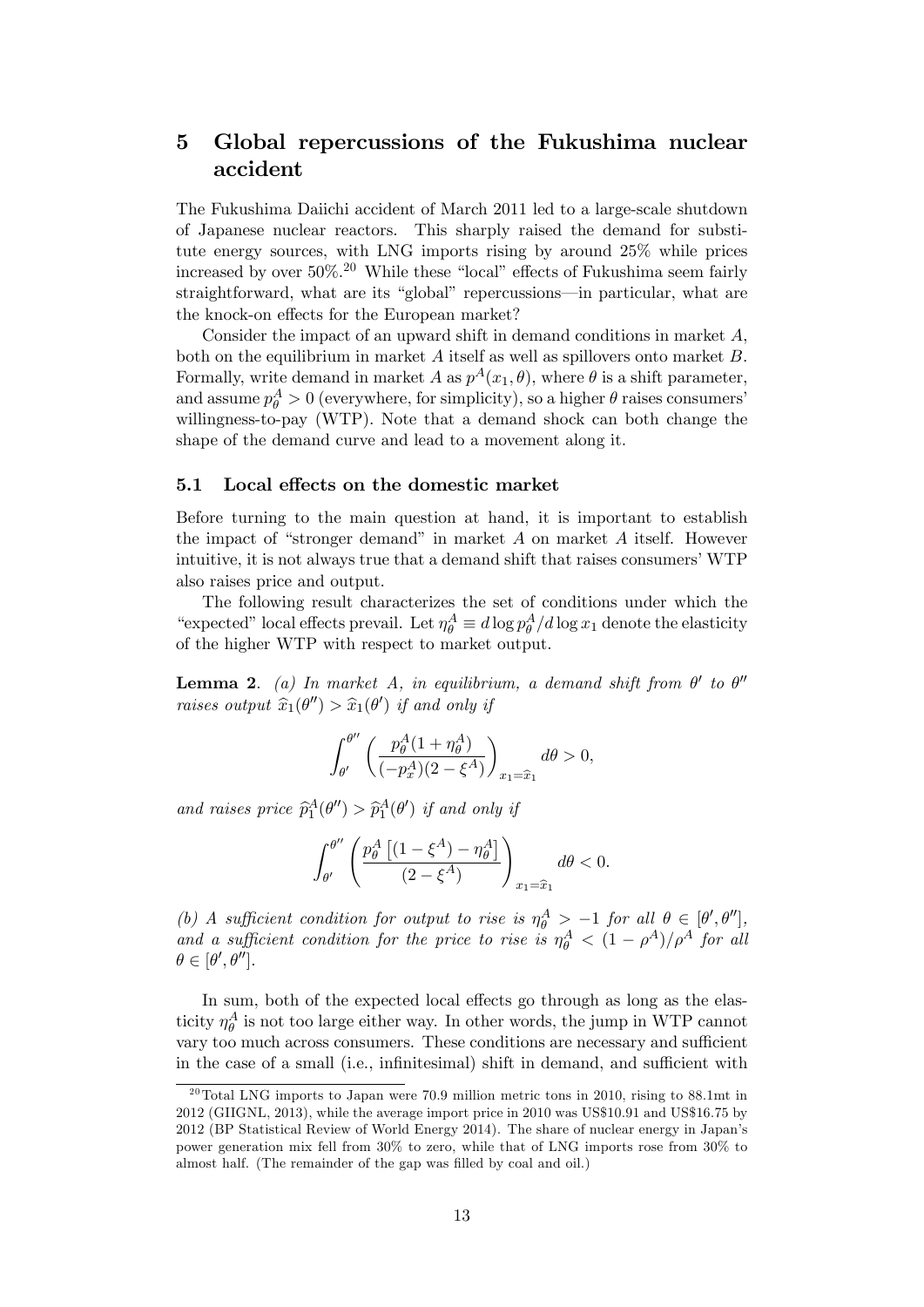# 5 Global repercussions of the Fukushima nuclear accident

The Fukushima Daiichi accident of March 2011 led to a large-scale shutdown of Japanese nuclear reactors. This sharply raised the demand for substitute energy sources, with LNG imports rising by around 25% while prices increased by over  $50\%$ .<sup>20</sup> While these "local" effects of Fukushima seem fairly straightforward, what are its "global" repercussions—in particular, what are the knock-on effects for the European market?

Consider the impact of an upward shift in demand conditions in market A, both on the equilibrium in market  $A$  itself as well as spillovers onto market  $B$ . Formally, write demand in market A as  $p^A(x_1, \theta)$ , where  $\theta$  is a shift parameter, and assume  $p_{\theta}^{A} > 0$  (everywhere, for simplicity), so a higher  $\theta$  raises consumers' willingness-to-pay (WTP). Note that a demand shock can both change the shape of the demand curve and lead to a movement along it.

#### 5.1 Local effects on the domestic market

Before turning to the main question at hand, it is important to establish the impact of "stronger demand" in market  $A$  on market  $A$  itself. However intuitive, it is not always true that a demand shift that raises consumers' WTP also raises price and output.

The following result characterizes the set of conditions under which the "expected" local effects prevail. Let  $\eta_{\theta}^{A} \equiv d \log p_{\theta}^{A} / d \log x_{1}$  denote the elasticity of the higher WTP with respect to market output.

**Lemma 2.** (a) In market A, in equilibrium, a demand shift from  $\theta'$  to  $\theta''$ raises output  $\widehat{x}_1(\theta'') > \widehat{x}_1(\theta')$  if and only if

$$
\int_{\theta'}^{\theta''}\left(\frac{p_{\theta}^A(1+\eta_{\theta}^A)}{(-p_x^A)(2-\xi^A)}\right)_{x_1=\widehat{x}_1}d\theta>0,
$$

and raises price  $\widehat{p}_1^A(\theta'') > \widehat{p}_1^A(\theta')$  if and only if

$$
\int_{\theta'}^{\theta''}\left(\frac{p_{\theta}^A\left[(1-\xi^A)-\eta_{\theta}^A\right]}{(2-\xi^A)}\right)_{x_1=\widehat{x}_1}d\theta<0.
$$

(b) A sufficient condition for output to rise is  $\eta_{\theta}^{A} > -1$  for all  $\theta \in [\theta', \theta'']$ , and a sufficient condition for the price to rise is  $\eta_{\theta}^{A} < (1 - \rho^{A})/\rho^{A}$  for all  $\theta \in [\theta', \theta'']$ .

In sum, both of the expected local effects go through as long as the elasticity  $\eta_{\theta}^A$  is not too large either way. In other words, the jump in WTP cannot vary too much across consumers. These conditions are necessary and sufficient in the case of a small (i.e., infinitesimal) shift in demand, and sufficient with

<sup>&</sup>lt;sup>20</sup>Total LNG imports to Japan were 70.9 million metric tons in 2010, rising to 88.1mt in 2012 (GIIGNL, 2013), while the average import price in 2010 was US\$10.91 and US\$16.75 by 2012 (BP Statistical Review of World Energy 2014). The share of nuclear energy in Japanís power generation mix fell from 30% to zero, while that of LNG imports rose from 30% to almost half. (The remainder of the gap was filled by coal and oil.)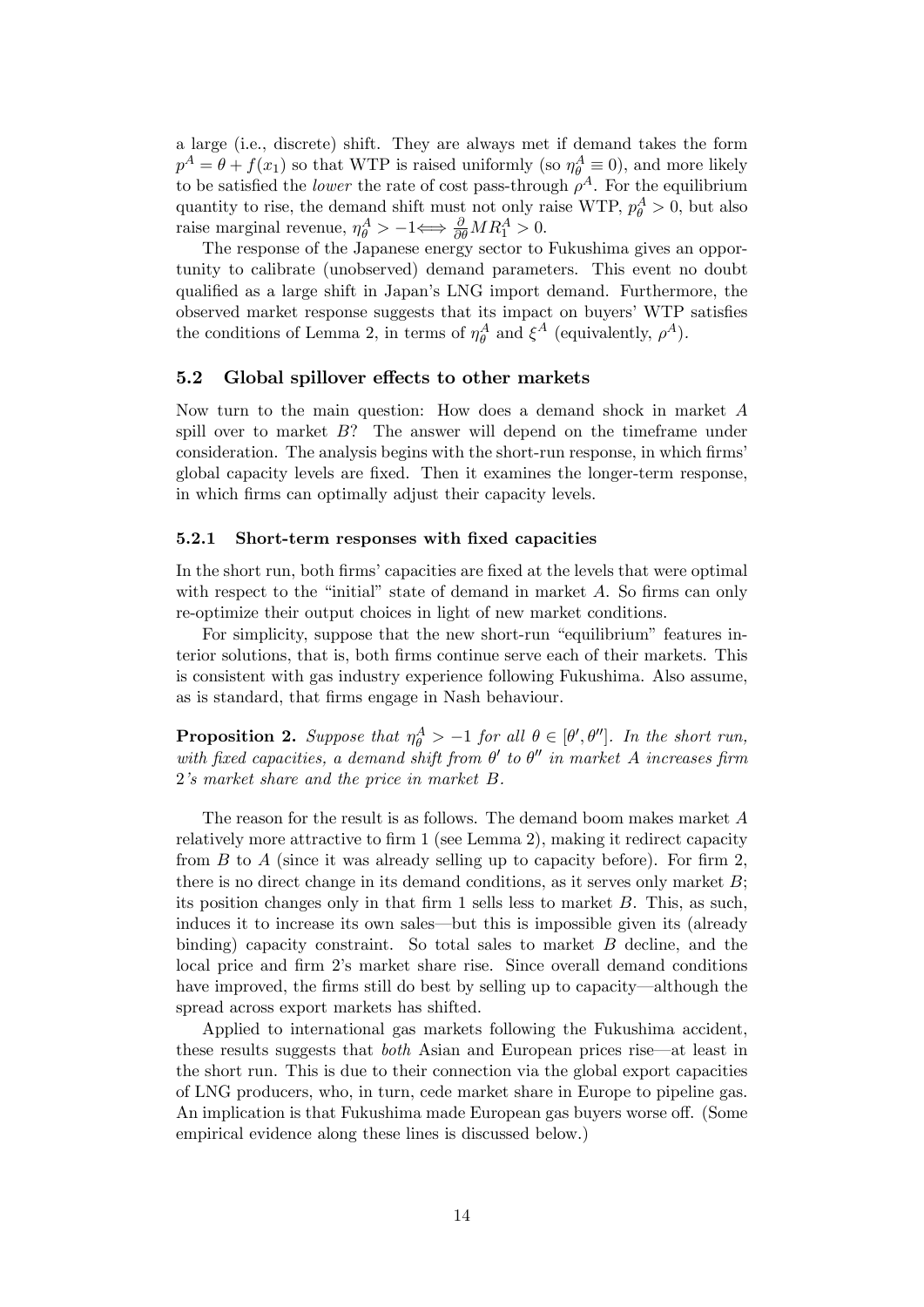a large (i.e., discrete) shift. They are always met if demand takes the form  $p^A = \theta + f(x_1)$  so that WTP is raised uniformly (so  $\eta_\theta^A \equiv 0$ ), and more likely to be satisfied the *lower* the rate of cost pass-through  $\rho^A$ . For the equilibrium quantity to rise, the demand shift must not only raise WTP,  $p_{\theta}^{A} > 0$ , but also raise marginal revenue,  $\eta_{\theta}^{A} > -1 \Longleftrightarrow \frac{\partial}{\partial \theta} M R_{1}^{A} > 0$ .

The response of the Japanese energy sector to Fukushima gives an opportunity to calibrate (unobserved) demand parameters. This event no doubt qualified as a large shift in Japan's LNG import demand. Furthermore, the observed market response suggests that its impact on buyers<sup>'</sup> WTP satisfies the conditions of Lemma 2, in terms of  $\eta_{\theta}^A$  and  $\xi^A$  (equivalently,  $\rho^A$ ).

### 5.2 Global spillover effects to other markets

Now turn to the main question: How does a demand shock in market A spill over to market  $B$ ? The answer will depend on the timeframe under consideration. The analysis begins with the short-run response, in which firms global capacity levels are Öxed. Then it examines the longer-term response, in which firms can optimally adjust their capacity levels.

#### 5.2.1 Short-term responses with fixed capacities

In the short run, both firms' capacities are fixed at the levels that were optimal with respect to the "initial" state of demand in market  $A$ . So firms can only re-optimize their output choices in light of new market conditions.

For simplicity, suppose that the new short-run "equilibrium" features interior solutions, that is, both Örms continue serve each of their markets. This is consistent with gas industry experience following Fukushima. Also assume, as is standard, that Örms engage in Nash behaviour.

**Proposition 2.** Suppose that  $\eta_{\theta}^{A} > -1$  for all  $\theta \in [\theta', \theta'']$ . In the short run, with fixed capacities, a demand shift from  $\theta'$  to  $\theta''$  in market A increases firm 2's market share and the price in market B.

The reason for the result is as follows. The demand boom makes market A relatively more attractive to firm 1 (see Lemma 2), making it redirect capacity from  $B$  to  $A$  (since it was already selling up to capacity before). For firm 2, there is no direct change in its demand conditions, as it serves only market  $B$ ; its position changes only in that firm  $1$  sells less to market  $B$ . This, as such, induces it to increase its own sales—but this is impossible given its (already binding) capacity constraint. So total sales to market  $B$  decline, and the local price and firm 2's market share rise. Since overall demand conditions have improved, the firms still do best by selling up to capacity—although the spread across export markets has shifted.

Applied to international gas markets following the Fukushima accident, these results suggests that *both* Asian and European prices rise—at least in the short run. This is due to their connection via the global export capacities of LNG producers, who, in turn, cede market share in Europe to pipeline gas. An implication is that Fukushima made European gas buyers worse off. (Some empirical evidence along these lines is discussed below.)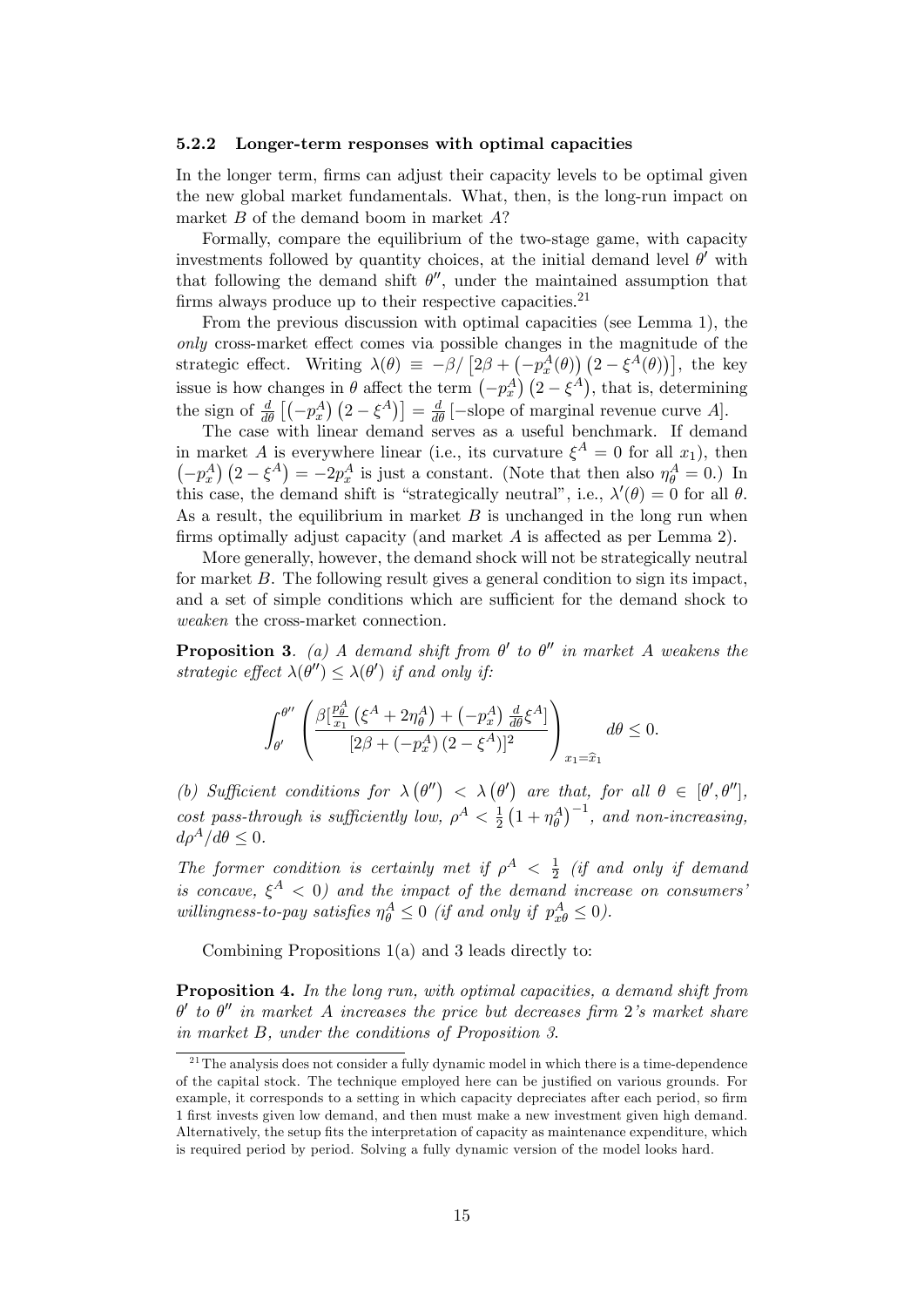#### 5.2.2 Longer-term responses with optimal capacities

In the longer term, firms can adjust their capacity levels to be optimal given the new global market fundamentals. What, then, is the long-run impact on market  $B$  of the demand boom in market  $A$ ?

Formally, compare the equilibrium of the two-stage game, with capacity investments followed by quantity choices, at the initial demand level  $\theta'$  with that following the demand shift  $\theta''$ , under the maintained assumption that firms always produce up to their respective capacities.<sup>21</sup>

From the previous discussion with optimal capacities (see Lemma 1), the only cross-market effect comes via possible changes in the magnitude of the strategic effect. Writing  $\lambda(\theta) \equiv -\beta / [2\beta + (-p_x^A(\theta))](2 - \xi^A(\theta))$ , the key issue is how changes in  $\theta$  affect the term  $(-p_x^A)(2-\xi^A)$ , that is, determining the sign of  $\frac{d}{d\theta}$   $\left[(-p_x^A\right)\left(2-\xi^A\right)\right] = \frac{d}{d\theta}$  [-slope of marginal revenue curve A].

The case with linear demand serves as a useful benchmark. If demand in market A is everywhere linear (i.e., its curvature  $\xi^A = 0$  for all  $x_1$ ), then  $(-p_x^A)(2-\xi^A) = -2p_x^A$  is just a constant. (Note that then also  $\eta_\theta^A = 0$ .) In this case, the demand shift is "strategically neutral", i.e.,  $\lambda'(\theta) = 0$  for all  $\theta$ . As a result, the equilibrium in market  $B$  is unchanged in the long run when firms optimally adjust capacity (and market  $A$  is affected as per Lemma 2).

More generally, however, the demand shock will not be strategically neutral for market B. The following result gives a general condition to sign its impact, and a set of simple conditions which are sufficient for the demand shock to weaken the cross-market connection.

**Proposition 3**. (a) A demand shift from  $\theta'$  to  $\theta''$  in market A weakens the strategic effect  $\lambda(\theta'') \leq \lambda(\theta')$  if and only if:

$$
\int_{\theta'}^{\theta''}\left(\frac{\beta[\frac{p_\theta^A}{x_1}(\xi^A+2\eta_\theta^A)+(-p_x^A)\frac{d}{d\theta}\xi^A]}{[2\beta+(-p_x^A)(2-\xi^A)]^2}\right)_{x_1=\hat{x}_1}d\theta\leq 0.
$$

(b) Sufficient conditions for  $\lambda(\theta'') < \lambda(\theta')$  are that, for all  $\theta \in [\theta', \theta'']$ , cost pass-through is sufficiently low,  $\rho^A < \frac{1}{2}$  $\frac{1}{2}(1+\eta_{\theta}^{A})^{-1}$ , and non-increasing,  $d\rho^A/d\theta \leq 0.$ 

The former condition is certainly met if  $\rho^A < \frac{1}{2}$  $\frac{1}{2}$  (if and only if demand is concave,  $\xi^A$  < 0) and the impact of the demand increase on consumers' willingness-to-pay satisfies  $\eta_{\theta}^{A} \leq 0$  (if and only if  $p_{x\theta}^{A} \leq 0$ ).

Combining Propositions 1(a) and 3 leads directly to:

Proposition 4. In the long run, with optimal capacities, a demand shift from  $\theta'$  to  $\theta''$  in market A increases the price but decreases firm 2's market share in market B, under the conditions of Proposition 3.

 $^{21}$ The analysis does not consider a fully dynamic model in which there is a time-dependence of the capital stock. The technique employed here can be justiÖed on various grounds. For example, it corresponds to a setting in which capacity depreciates after each period, so firm 1 Örst invests given low demand, and then must make a new investment given high demand. Alternatively, the setup fits the interpretation of capacity as maintenance expenditure, which is required period by period. Solving a fully dynamic version of the model looks hard.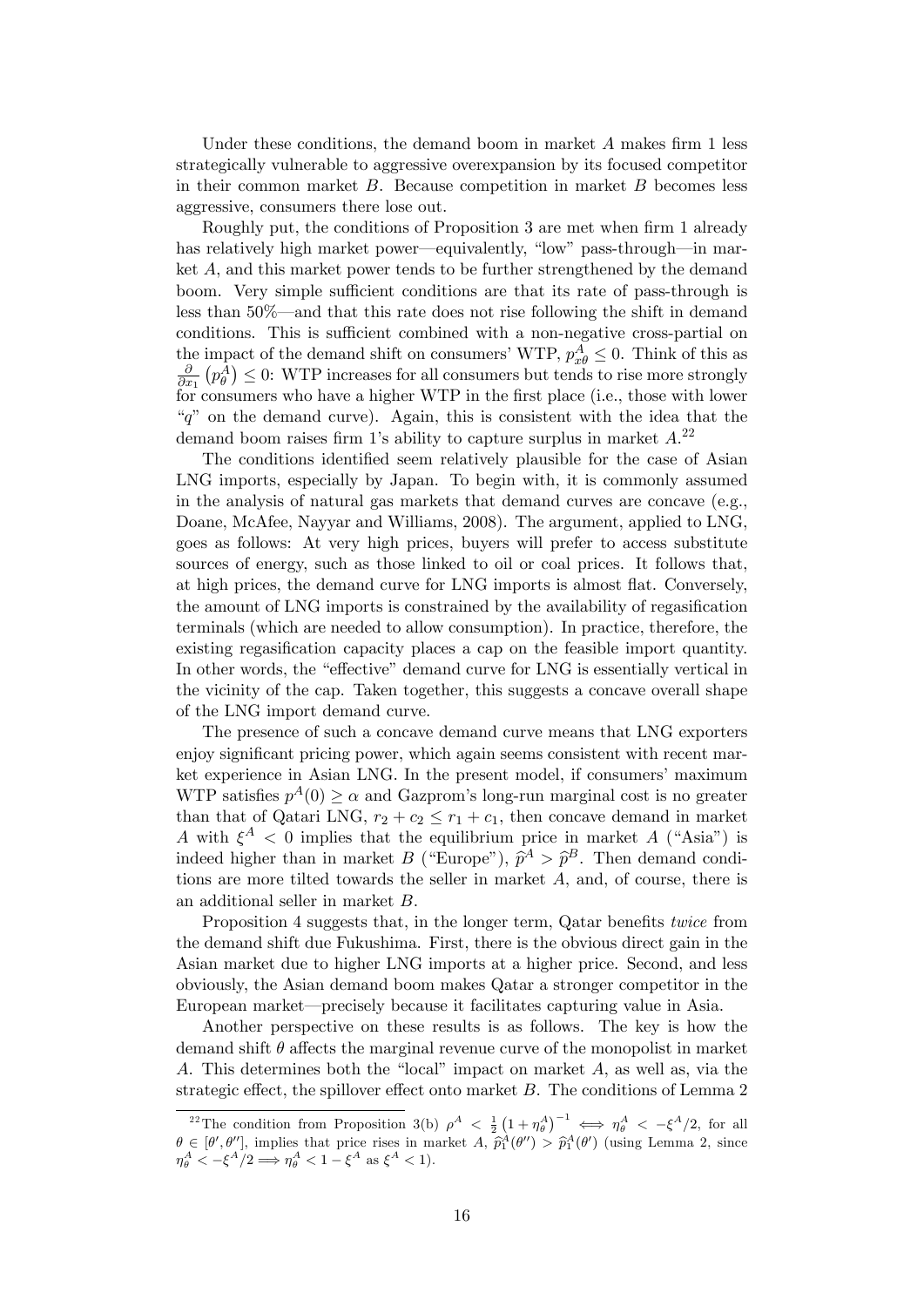Under these conditions, the demand boom in market  $A$  makes firm 1 less strategically vulnerable to aggressive overexpansion by its focused competitor in their common market  $B$ . Because competition in market  $B$  becomes less aggressive, consumers there lose out.

Roughly put, the conditions of Proposition 3 are met when firm 1 already has relatively high market power—equivalently, "low" pass-through—in market A, and this market power tends to be further strengthened by the demand boom. Very simple sufficient conditions are that its rate of pass-through is less than  $50\%$ —and that this rate does not rise following the shift in demand conditions. This is sufficient combined with a non-negative cross-partial on the impact of the demand shift on consumers' WTP,  $p_{x\theta}^A \leq 0$ . Think of this as @  $\frac{\partial}{\partial x_1} (p_\theta^A) \leq 0$ : WTP increases for all consumers but tends to rise more strongly for consumers who have a higher WTP in the first place (i.e., those with lower  $a^{\prime\prime}$  on the demand curve). Again, this is consistent with the idea that the demand boom raises firm 1's ability to capture surplus in market  $A^{22}$ 

The conditions identified seem relatively plausible for the case of Asian LNG imports, especially by Japan. To begin with, it is commonly assumed in the analysis of natural gas markets that demand curves are concave (e.g., Doane, McAfee, Nayyar and Williams, 2008). The argument, applied to LNG, goes as follows: At very high prices, buyers will prefer to access substitute sources of energy, such as those linked to oil or coal prices. It follows that, at high prices, the demand curve for LNG imports is almost flat. Conversely, the amount of LNG imports is constrained by the availability of regasification terminals (which are needed to allow consumption). In practice, therefore, the existing regasification capacity places a cap on the feasible import quantity. In other words, the "effective" demand curve for LNG is essentially vertical in the vicinity of the cap. Taken together, this suggests a concave overall shape of the LNG import demand curve.

The presence of such a concave demand curve means that LNG exporters enjoy significant pricing power, which again seems consistent with recent market experience in Asian LNG. In the present model, if consumers' maximum WTP satisfies  $p^A(0) \ge \alpha$  and Gazprom's long-run marginal cost is no greater than that of Qatari LNG,  $r_2 + c_2 \leq r_1 + c_1$ , then concave demand in market A with  $\xi^A$  < 0 implies that the equilibrium price in market A ("Asia") is indeed higher than in market  $B$  ("Europe"),  $\hat{p}^A > \hat{p}^B$ . Then demand conditions are more tilted towards the seller in market A, and, of course, there is an additional seller in market B.

Proposition 4 suggests that, in the longer term, Qatar benefits twice from the demand shift due Fukushima. First, there is the obvious direct gain in the Asian market due to higher LNG imports at a higher price. Second, and less obviously, the Asian demand boom makes Qatar a stronger competitor in the European market—precisely because it facilitates capturing value in Asia.

Another perspective on these results is as follows. The key is how the demand shift  $\theta$  affects the marginal revenue curve of the monopolist in market A. This determines both the "local" impact on market  $A$ , as well as, via the strategic effect, the spillover effect onto market  $B$ . The conditions of Lemma 2

<sup>&</sup>lt;sup>22</sup>The condition from Proposition 3(b)  $\rho^A < \frac{1}{2} (1 + \eta_\theta^A)^{-1} \iff \eta_\theta^A < -\xi^A/2$ , for all  $\theta \in [\theta', \theta'']$ , implies that price rises in market  $A$ ,  $\hat{p}_1^A(\theta'') > \hat{p}_1^A(\theta')$  (using Lemma 2, since  $\eta_{\theta}^A < -\xi^A/2 \Longrightarrow \eta_{\theta}^A < 1 - \xi^A \text{ as } \xi^A < 1$ .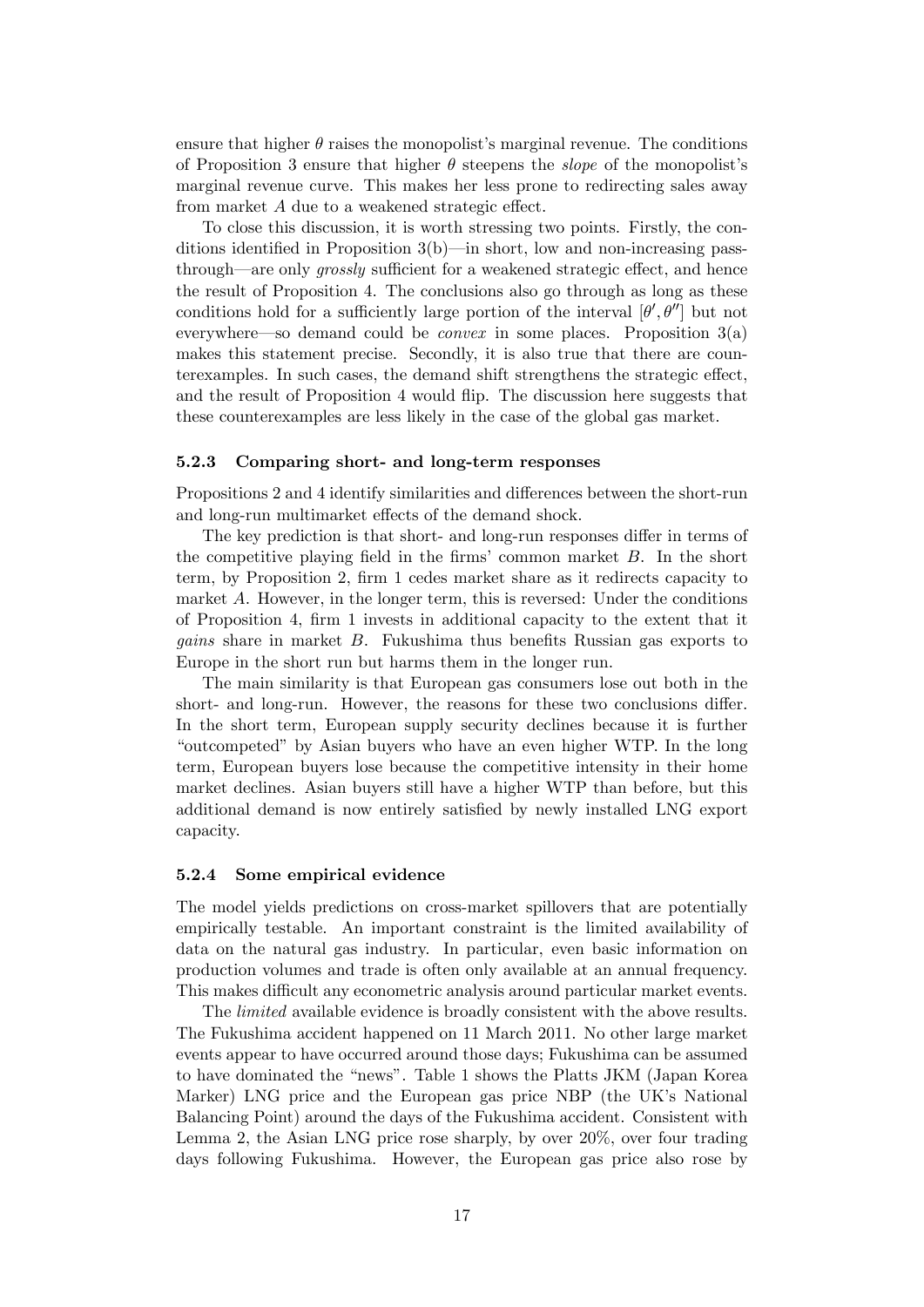ensure that higher  $\theta$  raises the monopolist's marginal revenue. The conditions of Proposition 3 ensure that higher  $\theta$  steepens the *slope* of the monopolist's marginal revenue curve. This makes her less prone to redirecting sales away from market  $A$  due to a weakened strategic effect.

To close this discussion, it is worth stressing two points. Firstly, the conditions identified in Proposition  $3(b)$ —in short, low and non-increasing passthrough—are only *grossly* sufficient for a weakened strategic effect, and hence the result of Proposition 4. The conclusions also go through as long as these conditions hold for a sufficiently large portion of the interval  $[\theta', \theta'']$  but not everywhere—so demand could be *convex* in some places. Proposition  $3(a)$ makes this statement precise. Secondly, it is also true that there are counterexamples. In such cases, the demand shift strengthens the strategic effect, and the result of Proposition 4 would áip. The discussion here suggests that these counterexamples are less likely in the case of the global gas market.

#### 5.2.3 Comparing short- and long-term responses

Propositions 2 and 4 identify similarities and differences between the short-run and long-run multimarket effects of the demand shock.

The key prediction is that short- and long-run responses differ in terms of the competitive playing field in the firms' common market  $B$ . In the short term, by Proposition 2, firm 1 cedes market share as it redirects capacity to market A. However, in the longer term, this is reversed: Under the conditions of Proposition 4, Örm 1 invests in additional capacity to the extent that it *gains* share in market  $B$ . Fukushima thus benefits Russian gas exports to Europe in the short run but harms them in the longer run.

The main similarity is that European gas consumers lose out both in the short- and long-run. However, the reasons for these two conclusions differ. In the short term, European supply security declines because it is further ìoutcompetedî by Asian buyers who have an even higher WTP. In the long term, European buyers lose because the competitive intensity in their home market declines. Asian buyers still have a higher WTP than before, but this additional demand is now entirely satisfied by newly installed LNG export capacity.

#### 5.2.4 Some empirical evidence

The model yields predictions on cross-market spillovers that are potentially empirically testable. An important constraint is the limited availability of data on the natural gas industry. In particular, even basic information on production volumes and trade is often only available at an annual frequency. This makes difficult any econometric analysis around particular market events.

The *limited* available evidence is broadly consistent with the above results. The Fukushima accident happened on 11 March 2011. No other large market events appear to have occurred around those days; Fukushima can be assumed to have dominated the "news". Table 1 shows the Platts JKM (Japan Korea Marker) LNG price and the European gas price NBP (the UK's National Balancing Point) around the days of the Fukushima accident. Consistent with Lemma 2, the Asian LNG price rose sharply, by over 20%, over four trading days following Fukushima. However, the European gas price also rose by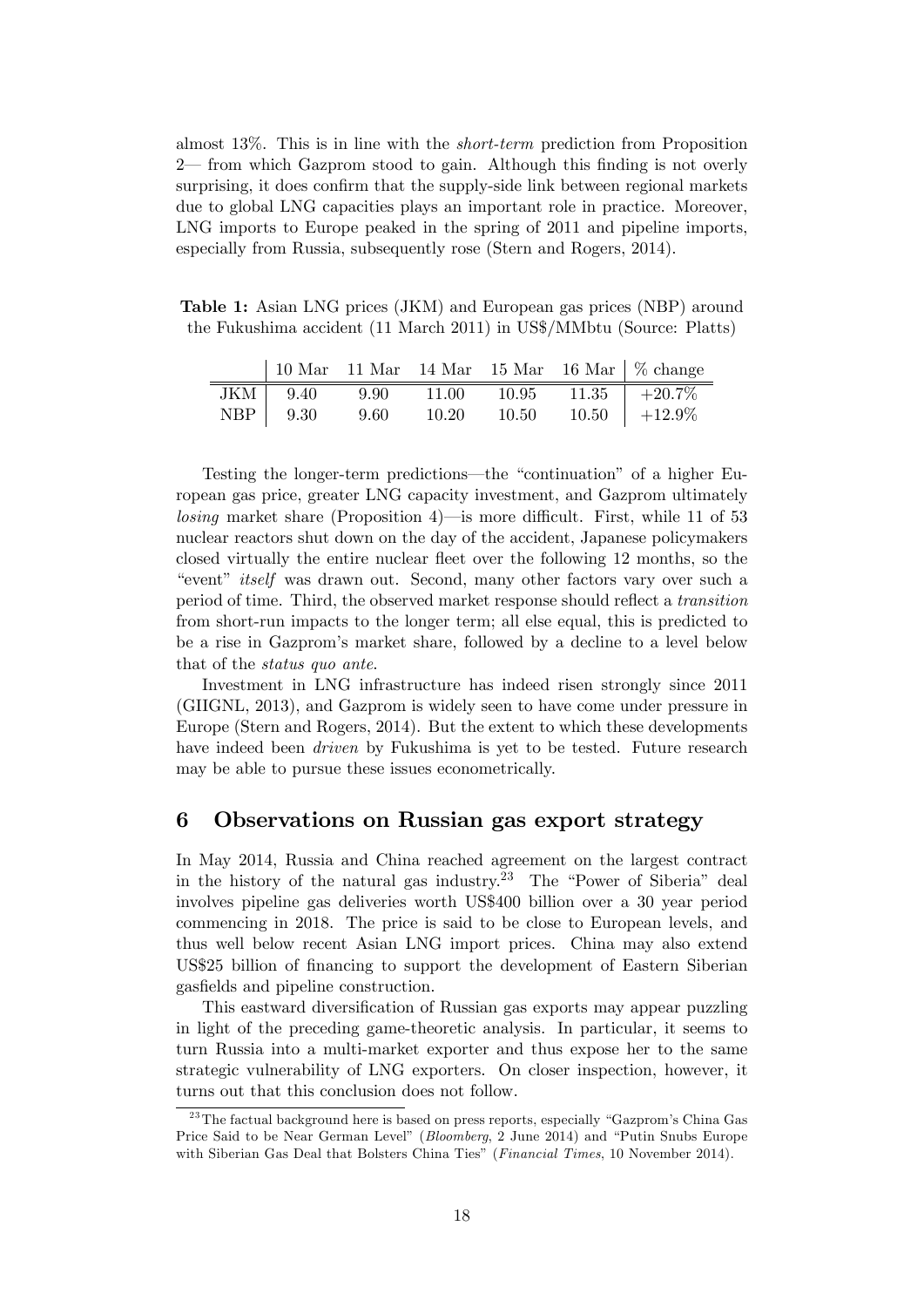almost 13%. This is in line with the short-term prediction from Proposition  $2$ — from which Gazprom stood to gain. Although this finding is not overly surprising, it does confirm that the supply-side link between regional markets due to global LNG capacities plays an important role in practice. Moreover, LNG imports to Europe peaked in the spring of 2011 and pipeline imports, especially from Russia, subsequently rose (Stern and Rogers, 2014).

Table 1: Asian LNG prices (JKM) and European gas prices (NBP) around the Fukushima accident (11 March 2011) in US\$/MMbtu (Source: Platts)

|  |  |  | 10 Mar   11 Mar   14 Mar   15 Mar   16 Mar   $\%$ change                                                                                                                   |
|--|--|--|----------------------------------------------------------------------------------------------------------------------------------------------------------------------------|
|  |  |  | $\begin{tabular}{c cccc} \hline JKM & 9.40 & 9.90 & 11.00 & 10.95 & 11.35 & +20.7\% \\ \hline NBP & 9.30 & 9.60 & 10.20 & 10.50 & 10.50 & +12.9\% \\ \hline \end{tabular}$ |
|  |  |  |                                                                                                                                                                            |

Testing the longer-term predictions—the "continuation" of a higher European gas price, greater LNG capacity investment, and Gazprom ultimately losing market share (Proposition 4)—is more difficult. First, while 11 of 53 nuclear reactors shut down on the day of the accident, Japanese policymakers closed virtually the entire nuclear fleet over the following 12 months, so the ìeventî itself was drawn out. Second, many other factors vary over such a period of time. Third, the observed market response should reflect a transition from short-run impacts to the longer term; all else equal, this is predicted to be a rise in Gazpromís market share, followed by a decline to a level below that of the status quo ante.

Investment in LNG infrastructure has indeed risen strongly since 2011 (GIIGNL, 2013), and Gazprom is widely seen to have come under pressure in Europe (Stern and Rogers, 2014). But the extent to which these developments have indeed been *driven* by Fukushima is yet to be tested. Future research may be able to pursue these issues econometrically.

### 6 Observations on Russian gas export strategy

In May 2014, Russia and China reached agreement on the largest contract in the history of the natural gas industry.<sup>23</sup> The "Power of Siberia" deal involves pipeline gas deliveries worth US\$400 billion over a 30 year period commencing in 2018. The price is said to be close to European levels, and thus well below recent Asian LNG import prices. China may also extend US\$25 billion of financing to support the development of Eastern Siberian gasfields and pipeline construction.

This eastward diversification of Russian gas exports may appear puzzling in light of the preceding game-theoretic analysis. In particular, it seems to turn Russia into a multi-market exporter and thus expose her to the same strategic vulnerability of LNG exporters. On closer inspection, however, it turns out that this conclusion does not follow.

 $^{23}$ The factual background here is based on press reports, especially "Gazprom's China Gas Price Said to be Near German Level" (Bloomberg, 2 June 2014) and "Putin Snubs Europe with Siberian Gas Deal that Bolsters China Ties" (*Financial Times*, 10 November 2014).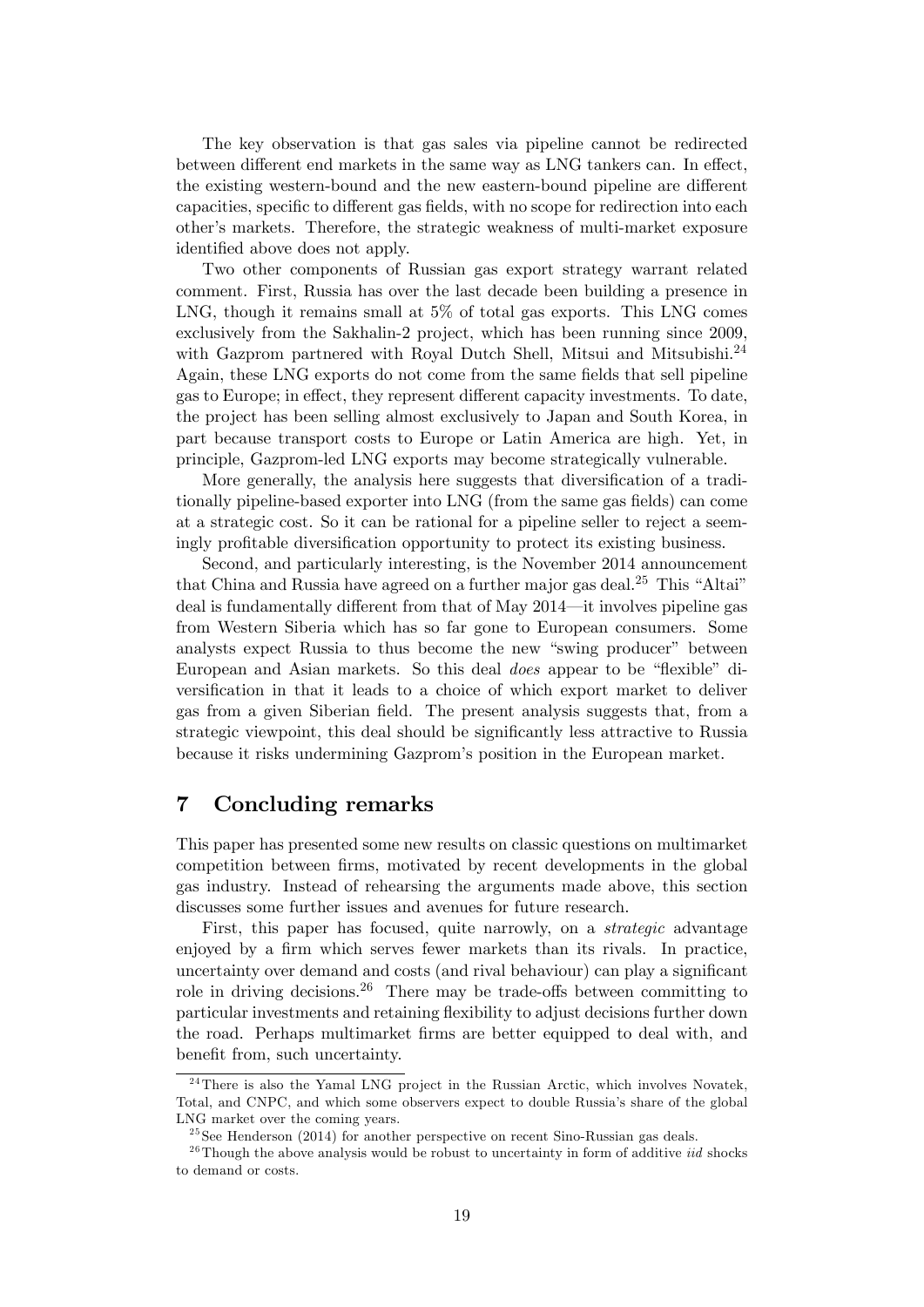The key observation is that gas sales via pipeline cannot be redirected between different end markets in the same way as LNG tankers can. In effect, the existing western-bound and the new eastern-bound pipeline are different capacities, specific to different gas fields, with no scope for redirection into each other's markets. Therefore, the strategic weakness of multi-market exposure identified above does not apply.

Two other components of Russian gas export strategy warrant related comment. First, Russia has over the last decade been building a presence in LNG, though it remains small at 5% of total gas exports. This LNG comes exclusively from the Sakhalin-2 project, which has been running since 2009, with Gazprom partnered with Royal Dutch Shell, Mitsui and Mitsubishi.<sup>24</sup> Again, these LNG exports do not come from the same fields that sell pipeline gas to Europe; in effect, they represent different capacity investments. To date, the project has been selling almost exclusively to Japan and South Korea, in part because transport costs to Europe or Latin America are high. Yet, in principle, Gazprom-led LNG exports may become strategically vulnerable.

More generally, the analysis here suggests that diversification of a traditionally pipeline-based exporter into LNG (from the same gas fields) can come at a strategic cost. So it can be rational for a pipeline seller to reject a seemingly profitable diversification opportunity to protect its existing business.

Second, and particularly interesting, is the November 2014 announcement that China and Russia have agreed on a further major gas deal.<sup>25</sup> This "Altai" deal is fundamentally different from that of May  $2014$ —it involves pipeline gas from Western Siberia which has so far gone to European consumers. Some analysts expect Russia to thus become the new "swing producer" between European and Asian markets. So this deal *does* appear to be "flexible" diversification in that it leads to a choice of which export market to deliver gas from a given Siberian field. The present analysis suggests that, from a strategic viewpoint, this deal should be significantly less attractive to Russia because it risks undermining Gazprom's position in the European market.

# 7 Concluding remarks

This paper has presented some new results on classic questions on multimarket competition between Örms, motivated by recent developments in the global gas industry. Instead of rehearsing the arguments made above, this section discusses some further issues and avenues for future research.

First, this paper has focused, quite narrowly, on a strategic advantage enjoyed by a firm which serves fewer markets than its rivals. In practice, uncertainty over demand and costs (and rival behaviour) can play a significant role in driving decisions.<sup>26</sup> There may be trade-offs between committing to particular investments and retaining áexibility to adjust decisions further down the road. Perhaps multimarket firms are better equipped to deal with, and benefit from, such uncertainty.

<sup>&</sup>lt;sup>24</sup>There is also the Yamal LNG project in the Russian Arctic, which involves Novatek, Total, and CNPC, and which some observers expect to double Russiaís share of the global LNG market over the coming years.

 $^{25}$ See Henderson (2014) for another perspective on recent Sino-Russian gas deals.

 $^{26}$ Though the above analysis would be robust to uncertainty in form of additive *iid* shocks to demand or costs.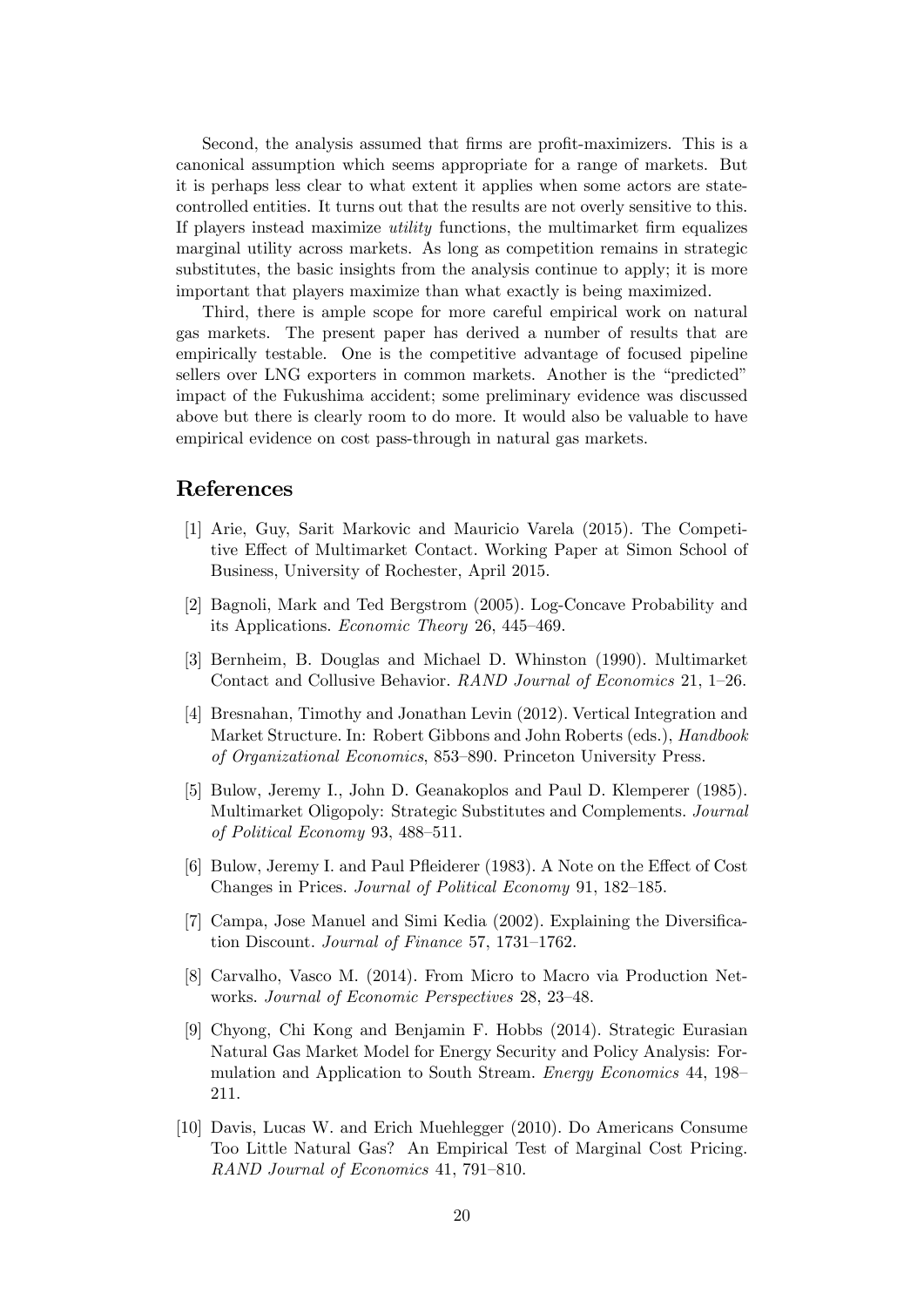Second, the analysis assumed that firms are profit-maximizers. This is a canonical assumption which seems appropriate for a range of markets. But it is perhaps less clear to what extent it applies when some actors are statecontrolled entities. It turns out that the results are not overly sensitive to this. If players instead maximize *utility* functions, the multimarket firm equalizes marginal utility across markets. As long as competition remains in strategic substitutes, the basic insights from the analysis continue to apply; it is more important that players maximize than what exactly is being maximized.

Third, there is ample scope for more careful empirical work on natural gas markets. The present paper has derived a number of results that are empirically testable. One is the competitive advantage of focused pipeline sellers over LNG exporters in common markets. Another is the "predicted" impact of the Fukushima accident; some preliminary evidence was discussed above but there is clearly room to do more. It would also be valuable to have empirical evidence on cost pass-through in natural gas markets.

## References

- [1] Arie, Guy, Sarit Markovic and Mauricio Varela (2015). The Competitive Effect of Multimarket Contact. Working Paper at Simon School of Business, University of Rochester, April 2015.
- [2] Bagnoli, Mark and Ted Bergstrom (2005). Log-Concave Probability and its Applications. *Economic Theory* 26, 445–469.
- [3] Bernheim, B. Douglas and Michael D. Whinston (1990). Multimarket Contact and Collusive Behavior. RAND Journal of Economics 21, 1–26.
- [4] Bresnahan, Timothy and Jonathan Levin (2012). Vertical Integration and Market Structure. In: Robert Gibbons and John Roberts (eds.), Handbook of Organizational Economics, 853–890. Princeton University Press.
- [5] Bulow, Jeremy I., John D. Geanakoplos and Paul D. Klemperer (1985). Multimarket Oligopoly: Strategic Substitutes and Complements. Journal of Political Economy 93,  $488-511$ .
- [6] Bulow, Jeremy I. and Paul Pfleiderer (1983). A Note on the Effect of Cost Changes in Prices. Journal of Political Economy 91, 182–185.
- [7] Campa, Jose Manuel and Simi Kedia (2002). Explaining the Diversification Discount. Journal of Finance 57, 1731-1762.
- [8] Carvalho, Vasco M. (2014). From Micro to Macro via Production Networks. Journal of Economic Perspectives 28, 23–48.
- [9] Chyong, Chi Kong and Benjamin F. Hobbs (2014). Strategic Eurasian Natural Gas Market Model for Energy Security and Policy Analysis: Formulation and Application to South Stream. *Energy Economics* 44, 198 211.
- [10] Davis, Lucas W. and Erich Muehlegger (2010). Do Americans Consume Too Little Natural Gas? An Empirical Test of Marginal Cost Pricing. RAND Journal of Economics 41, 791-810.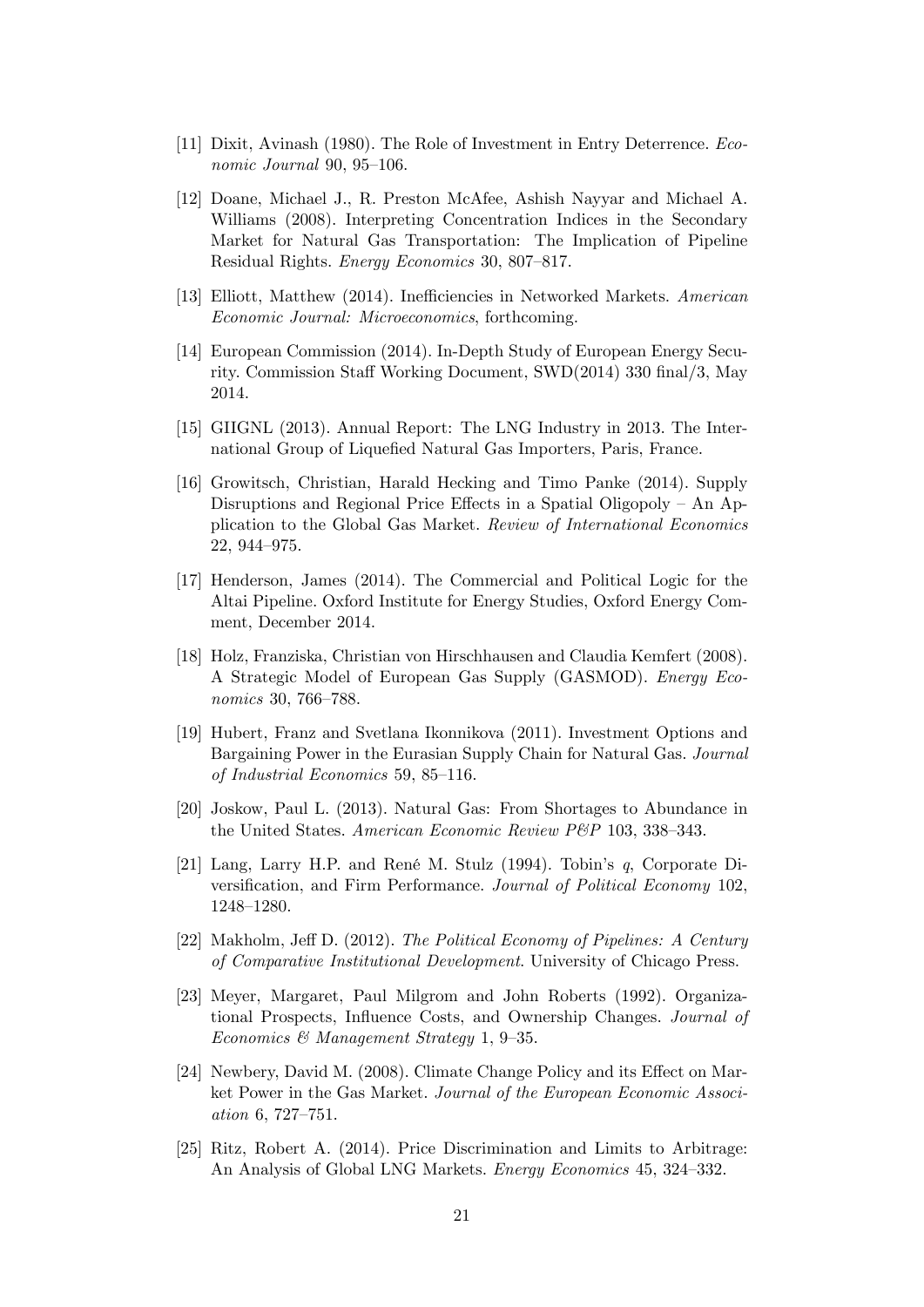- [11] Dixit, Avinash (1980). The Role of Investment in Entry Deterrence. Economic Journal  $90, 95-106$ .
- [12] Doane, Michael J., R. Preston McAfee, Ashish Nayyar and Michael A. Williams (2008). Interpreting Concentration Indices in the Secondary Market for Natural Gas Transportation: The Implication of Pipeline Residual Rights. Energy Economics 30, 807-817.
- [13] Elliott, Matthew (2014). Inefficiencies in Networked Markets. American Economic Journal: Microeconomics, forthcoming.
- [14] European Commission (2014). In-Depth Study of European Energy Security. Commission Staff Working Document,  $SWD(2014)$  330 final/3, May 2014.
- [15] GIIGNL (2013). Annual Report: The LNG Industry in 2013. The International Group of Liquefied Natural Gas Importers, Paris, France.
- [16] Growitsch, Christian, Harald Hecking and Timo Panke (2014). Supply Disruptions and Regional Price Effects in a Spatial Oligopoly – An Application to the Global Gas Market. Review of International Economics 22, 944–975.
- [17] Henderson, James (2014). The Commercial and Political Logic for the Altai Pipeline. Oxford Institute for Energy Studies, Oxford Energy Comment, December 2014.
- [18] Holz, Franziska, Christian von Hirschhausen and Claudia Kemfert (2008). A Strategic Model of European Gas Supply (GASMOD). Energy Economics 30, 766–788.
- [19] Hubert, Franz and Svetlana Ikonnikova (2011). Investment Options and Bargaining Power in the Eurasian Supply Chain for Natural Gas. Journal of Industrial Economics 59, 85–116.
- [20] Joskow, Paul L. (2013). Natural Gas: From Shortages to Abundance in the United States. American Economic Review P&P 103, 338-343.
- [21] Lang, Larry H.P. and René M. Stulz (1994). Tobin's q, Corporate Diversification, and Firm Performance. Journal of Political Economy 102, 1248-1280.
- [22] Makholm, Jeff D. (2012). The Political Economy of Pipelines: A Century of Comparative Institutional Development. University of Chicago Press.
- [23] Meyer, Margaret, Paul Milgrom and John Roberts (1992). Organizational Prospects, Influence Costs, and Ownership Changes. Journal of Economics & Management Strategy 1, 9-35.
- [24] Newbery, David M. (2008). Climate Change Policy and its Effect on Market Power in the Gas Market. Journal of the European Economic Association  $6, 727-751.$
- [25] Ritz, Robert A. (2014). Price Discrimination and Limits to Arbitrage: An Analysis of Global LNG Markets. Energy Economics 45, 324-332.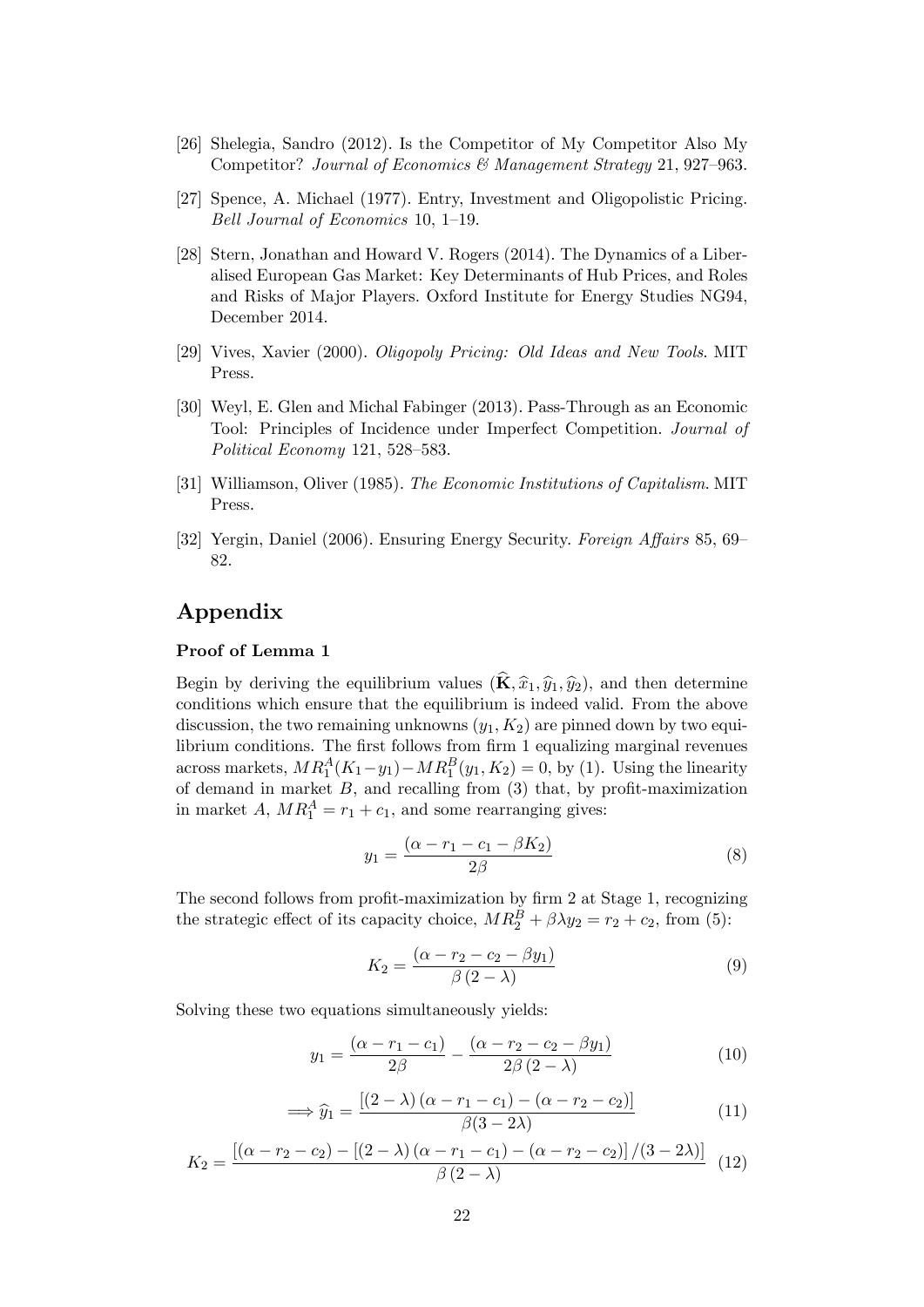- [26] Shelegia, Sandro (2012). Is the Competitor of My Competitor Also My Competitor? Journal of Economics & Management Strategy 21, 927–963.
- [27] Spence, A. Michael (1977). Entry, Investment and Oligopolistic Pricing. Bell Journal of Economics 10, 1-19.
- [28] Stern, Jonathan and Howard V. Rogers (2014). The Dynamics of a Liberalised European Gas Market: Key Determinants of Hub Prices, and Roles and Risks of Major Players. Oxford Institute for Energy Studies NG94, December 2014.
- [29] Vives, Xavier (2000). Oligopoly Pricing: Old Ideas and New Tools. MIT Press.
- [30] Weyl, E. Glen and Michal Fabinger (2013). Pass-Through as an Economic Tool: Principles of Incidence under Imperfect Competition. Journal of Political Economy 121, 528-583.
- [31] Williamson, Oliver (1985). The Economic Institutions of Capitalism. MIT Press.
- [32] Yergin, Daniel (2006). Ensuring Energy Security. Foreign Affairs 85, 69– 82.

# Appendix

#### Proof of Lemma 1

Begin by deriving the equilibrium values  $(\widehat{\mathbf{K}}, \widehat{x}_1, \widehat{y}_1, \widehat{y}_2)$ , and then determine conditions which ensure that the equilibrium is indeed valid. From the above discussion, the two remaining unknowns  $(y_1, K_2)$  are pinned down by two equilibrium conditions. The first follows from firm 1 equalizing marginal revenues across markets,  $MR_1^A(K_1-y_1) - MR_1^B(y_1, K_2) = 0$ , by (1). Using the linearity of demand in market  $B$ , and recalling from  $(3)$  that, by profit-maximization in market  $A$ ,  $MR_1^A = r_1 + c_1$ , and some rearranging gives:

$$
y_1 = \frac{(\alpha - r_1 - c_1 - \beta K_2)}{2\beta} \tag{8}
$$

The second follows from profit-maximization by firm 2 at Stage 1, recognizing the strategic effect of its capacity choice,  $MR_2^B + \beta \lambda y_2 = r_2 + c_2$ , from (5):

$$
K_2 = \frac{(\alpha - r_2 - c_2 - \beta y_1)}{\beta (2 - \lambda)}\tag{9}
$$

Solving these two equations simultaneously yields:

$$
y_1 = \frac{(\alpha - r_1 - c_1)}{2\beta} - \frac{(\alpha - r_2 - c_2 - \beta y_1)}{2\beta (2 - \lambda)}
$$
(10)

$$
\implies \widehat{y}_1 = \frac{[(2-\lambda)(\alpha - r_1 - c_1) - (\alpha - r_2 - c_2)]}{\beta(3-2\lambda)}\tag{11}
$$

$$
K_2 = \frac{\left[ (\alpha - r_2 - c_2) - \left[ (2 - \lambda) (\alpha - r_1 - c_1) - (\alpha - r_2 - c_2) \right] / (3 - 2\lambda) \right]}{\beta (2 - \lambda)} \tag{12}
$$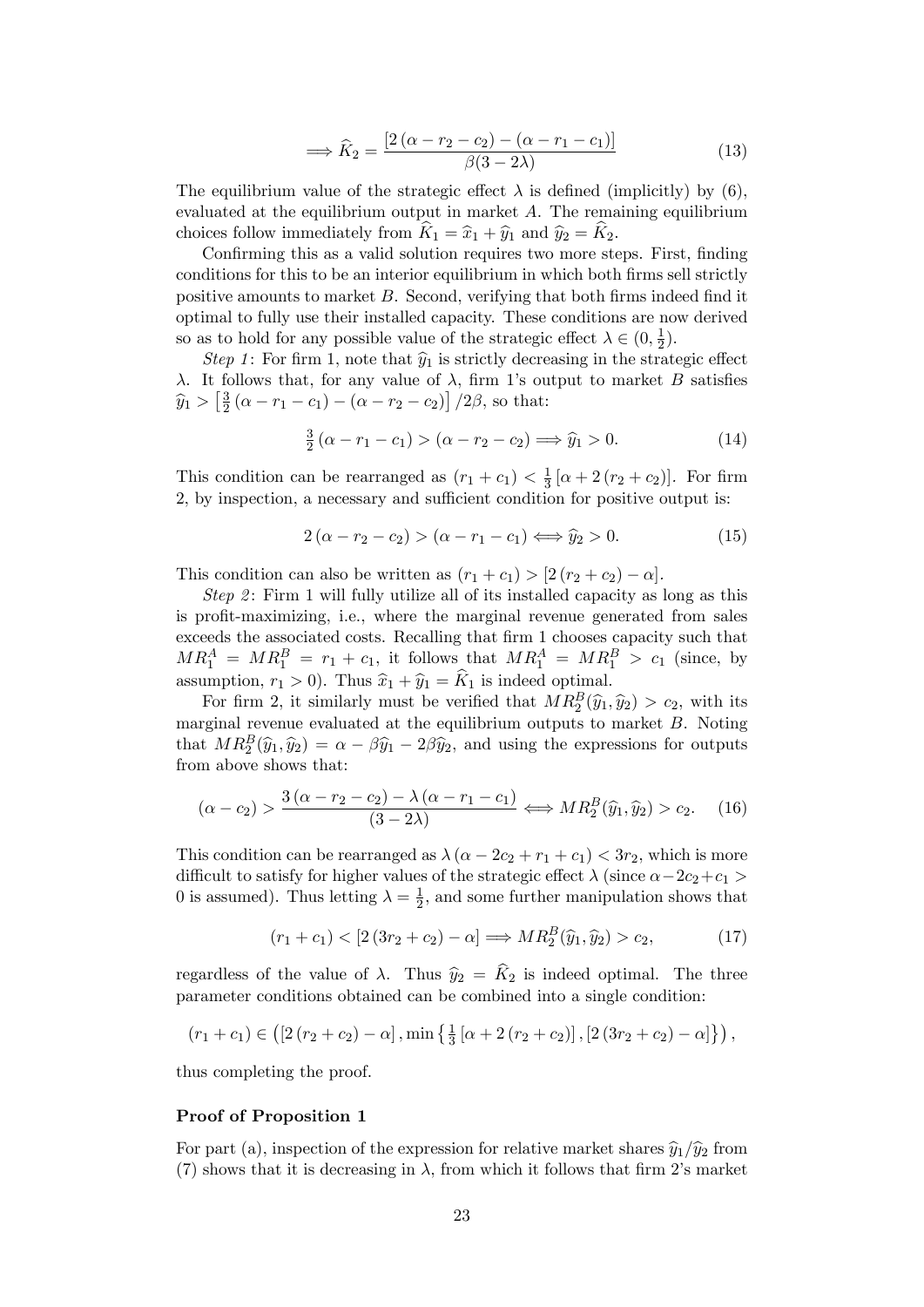$$
\implies \widehat{K}_2 = \frac{\left[2\left(\alpha - r_2 - c_2\right) - \left(\alpha - r_1 - c_1\right)\right]}{\beta(3 - 2\lambda)}\tag{13}
$$

The equilibrium value of the strategic effect  $\lambda$  is defined (implicitly) by (6), evaluated at the equilibrium output in market A. The remaining equilibrium choices follow immediately from  $\hat{K}_1 = \hat{x}_1 + \hat{y}_1$  and  $\hat{y}_2 = \hat{K}_2$ .

Confirming this as a valid solution requires two more steps. First, finding conditions for this to be an interior equilibrium in which both firms sell strictly positive amounts to market  $B$ . Second, verifying that both firms indeed find it optimal to fully use their installed capacity. These conditions are now derived so as to hold for any possible value of the strategic effect  $\lambda \in (0, \frac{1}{2})$  $(\frac{1}{2})$ .

Step 1: For firm 1, note that  $\hat{y}_1$  is strictly decreasing in the strategic effect  $\lambda$ . It follows that, for any value of  $\lambda$ , firm 1's output to market B satisfies  $\widehat{y}_1 > \left[\frac{3}{2}\right]$  $\frac{3}{2}(\alpha - r_1 - c_1) - (\alpha - r_2 - c_2) / 2\beta$ , so that:

$$
\frac{3}{2}(\alpha - r_1 - c_1) > (\alpha - r_2 - c_2) \Longrightarrow \hat{y}_1 > 0. \tag{14}
$$

This condition can be rearranged as  $(r_1 + c_1) < \frac{1}{3}$  $\frac{1}{3} [\alpha + 2 (r_2 + c_2)].$  For firm 2, by inspection, a necessary and sufficient condition for positive output is:

$$
2(\alpha - r_2 - c_2) > (\alpha - r_1 - c_1) \Longleftrightarrow \hat{y}_2 > 0. \tag{15}
$$

This condition can also be written as  $(r_1 + c_1) > [2 (r_2 + c_2) - \alpha]$ .

Step 2: Firm 1 will fully utilize all of its installed capacity as long as this is profit-maximizing, i.e., where the marginal revenue generated from sales exceeds the associated costs. Recalling that firm 1 chooses capacity such that  $MR_1^A = MR_1^B = r_1 + c_1$ , it follows that  $MR_1^A = MR_1^B > c_1$  (since, by assumption,  $r_1 > 0$ ). Thus  $\hat{x}_1 + \hat{y}_1 = \hat{K}_1$  is indeed optimal.

For firm 2, it similarly must be verified that  $MR_2^B(\hat{y}_1, \hat{y}_2) > c_2$ , with its marginal revenue evaluated at the equilibrium outputs to market  $B$ . Noting that  $MR_2^B(\hat{y}_1, \hat{y}_2) = \alpha - \beta \hat{y}_1 - 2\beta \hat{y}_2$ , and using the expressions for outputs from above shows that:

$$
(\alpha - c_2) > \frac{3(\alpha - r_2 - c_2) - \lambda(\alpha - r_1 - c_1)}{(3 - 2\lambda)} \Longleftrightarrow MR_2^B(\hat{y}_1, \hat{y}_2) > c_2. \tag{16}
$$

This condition can be rearranged as  $\lambda (\alpha - 2c_2 + r_1 + c_1) < 3r_2$ , which is more difficult to satisfy for higher values of the strategic effect  $\lambda$  (since  $\alpha - 2c_2+c_1 >$ 0 is assumed). Thus letting  $\lambda = \frac{1}{2}$  $\frac{1}{2}$ , and some further manipulation shows that

$$
(r_1 + c_1) < [2(3r_2 + c_2) - \alpha] \Longrightarrow MR_2^B(\hat{y}_1, \hat{y}_2) > c_2,\tag{17}
$$

regardless of the value of  $\lambda$ . Thus  $\hat{y}_2 = \hat{K}_2$  is indeed optimal. The three parameter conditions obtained can be combined into a single condition:

$$
(r_1 + c_1) \in ([2 (r_2 + c_2) - \alpha], \min \left\{ \frac{1}{3} [\alpha + 2 (r_2 + c_2)], [2 (3r_2 + c_2) - \alpha] \right\}),
$$

thus completing the proof.

#### Proof of Proposition 1

For part (a), inspection of the expression for relative market shares  $\hat{y}_1/\hat{y}_2$  from (7) shows that it is decreasing in  $\lambda$ , from which it follows that firm 2's market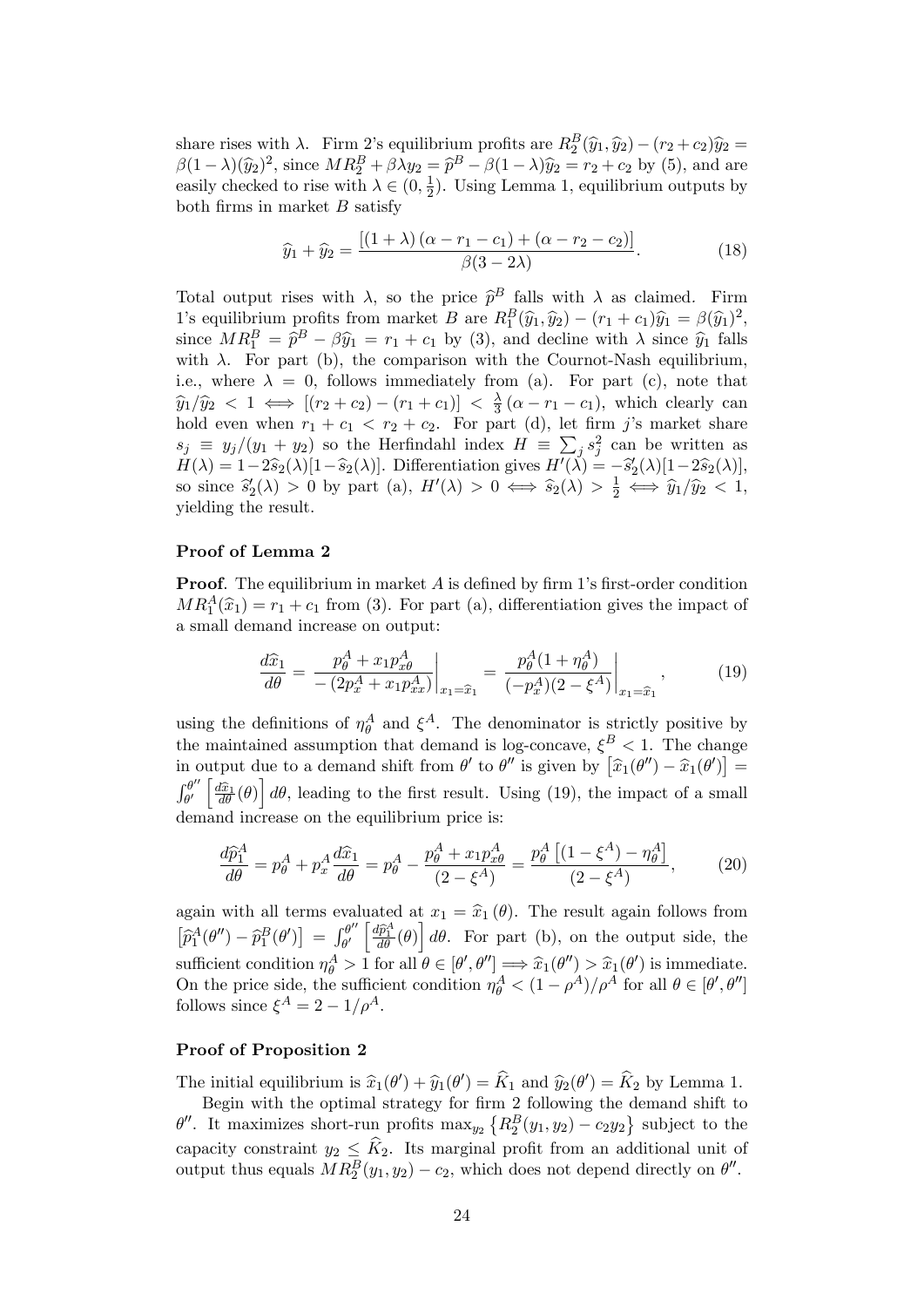share rises with  $\lambda$ . Firm 2's equilibrium profits are  $R_2^B(\hat{y}_1, \hat{y}_2) - (r_2 + c_2)\hat{y}_2 =$  $\beta(1-\lambda)(\widehat{y}_2)^2$ , since  $MR_2^B + \beta \lambda y_2 = \widehat{p}^B - \beta(1-\lambda)\widehat{y}_2 = r_2 + c_2$  by (5), and are easily checked to rise with  $\lambda \in (0, \frac{1}{2})$  $\frac{1}{2}$ ). Using Lemma 1, equilibrium outputs by both firms in market  $B$  satisfy

$$
\widehat{y}_1 + \widehat{y}_2 = \frac{[(1+\lambda)(\alpha - r_1 - c_1) + (\alpha - r_2 - c_2)]}{\beta(3 - 2\lambda)}.
$$
\n(18)

Total output rises with  $\lambda$ , so the price  $\hat{p}^B$  falls with  $\lambda$  as claimed. Firm 1's equilibrium profits from market B are  $R_1^B(\hat{y}_1, \hat{y}_2) - (r_1 + c_1)\hat{y}_1 = \beta(\hat{y}_1)^2$ , since  $MR_1^B = \hat{p}^B - \beta \hat{y}_1 = r_1 + c_1$  by (3), and decline with  $\lambda$  since  $\hat{y}_1$  falls with  $\lambda$ . For part (b), the comparison with the Cournot-Nash equilibrium, i.e., where  $\lambda = 0$ , follows immediately from (a). For part (c), note that  $\widehat{y}_1/\widehat{y}_2 < 1 \iff [(r_2 + c_2) - (r_1 + c_1)] < \frac{\lambda}{3}$  $\frac{\lambda}{3}$  ( $\alpha - r_1 - c_1$ ), which clearly can hold even when  $r_1 + c_1 < r_2 + c_2$ . For part (d), let firm j's market share  $s_j \equiv y_j/(y_1 + y_2)$  so the Herfindahl index  $H = \sum_j s_j^2$  can be written as  $H(\lambda) = 1-2\widehat{s}_2(\lambda)[1-\widehat{s}_2(\lambda)].$  Differentiation gives  $H'(\lambda) = -\widehat{s}_2'(\lambda)[1-2\widehat{s}_2(\lambda)],$ so since  $\widehat{s}'_2(\lambda) > 0$  by part (a),  $H'(\lambda) > 0 \iff \widehat{s}_2(\lambda) > \frac{1}{2} \iff \widehat{y}_1/\widehat{y}_2 < 1$ , yielding the result.

#### Proof of Lemma 2

**Proof.** The equilibrium in market  $A$  is defined by firm 1's first-order condition  $MR_1^A(\hat{x}_1) = r_1 + c_1$  from (3). For part (a), differentiation gives the impact of a small demand increase on output:

$$
\frac{d\hat{x}_1}{d\theta} = \frac{p_\theta^A + x_1 p_{x\theta}^A}{-(2p_x^A + x_1 p_{xx}^A)}\bigg|_{x_1 = \hat{x}_1} = \frac{p_\theta^A (1 + \eta_\theta^A)}{(-p_x^A)(2 - \xi^A)}\bigg|_{x_1 = \hat{x}_1},\tag{19}
$$

using the definitions of  $\eta_{\theta}^A$  and  $\xi^A$ . The denominator is strictly positive by the maintained assumption that demand is log-concave,  $\xi^B < 1$ . The change in output due to a demand shift from  $\theta'$  to  $\theta''$  is given by  $[\hat{x}_1(\theta'') - \hat{x}_1(\theta')] =$  $\int_{\alpha}^{\theta''}$  $\partial_{\theta'}^{\theta''}\left[\frac{d\hat{x}_1}{d\theta}(\theta)\right]d\theta$ , leading to the first result. Using (19), the impact of a small demand increase on the equilibrium price is:

$$
\frac{d\hat{p}_1^A}{d\theta} = p_\theta^A + p_x^A \frac{d\hat{x}_1}{d\theta} = p_\theta^A - \frac{p_\theta^A + x_1 p_{x\theta}^A}{(2 - \xi^A)} = \frac{p_\theta^A \left[ (1 - \xi^A) - \eta_\theta^A \right]}{(2 - \xi^A)},\tag{20}
$$

again with all terms evaluated at  $x_1 = \hat{x}_1 (\theta)$ . The result again follows from  $\left[\widehat{p}_{1}^{A}(\theta'')-\widehat{p}_{1}^{B}(\theta')\right] = \int_{\theta'}^{\theta''}$  $\partial_{\theta'}^{\theta''}\left[\frac{d\widehat{p}_1^A}{d\theta}(\theta)\right]d\theta$ . For part (b), on the output side, the sufficient condition  $\eta_{\theta}^{A} > 1$  for all  $\theta \in [\theta', \theta''] \implies \hat{x}_1(\theta'') > \hat{x}_1(\theta')$  is immediate. On the price side, the sufficient condition  $\eta_{\theta}^{A} < (1 - \rho^{A})/\rho^{A}$  for all  $\theta \in [\theta', \theta'']$ follows since  $\xi^A = 2 - 1/\rho^A$ .

#### Proof of Proposition 2

The initial equilibrium is  $\hat{x}_1(\theta') + \hat{y}_1(\theta') = K_1$  and  $\hat{y}_2(\theta') = K_2$  by Lemma 1.

Begin with the optimal strategy for firm 2 following the demand shift to  $\theta''$ . It maximizes short-run profits  $\max_{y_2} \left\{ R_2^B(y_1, y_2) - c_2 y_2 \right\}$  subject to the capacity constraint  $y_2 \leq \hat{K}_2$ . Its marginal profit from an additional unit of output thus equals  $MR_2^B(y_1, y_2) - c_2$ , which does not depend directly on  $\theta''$ .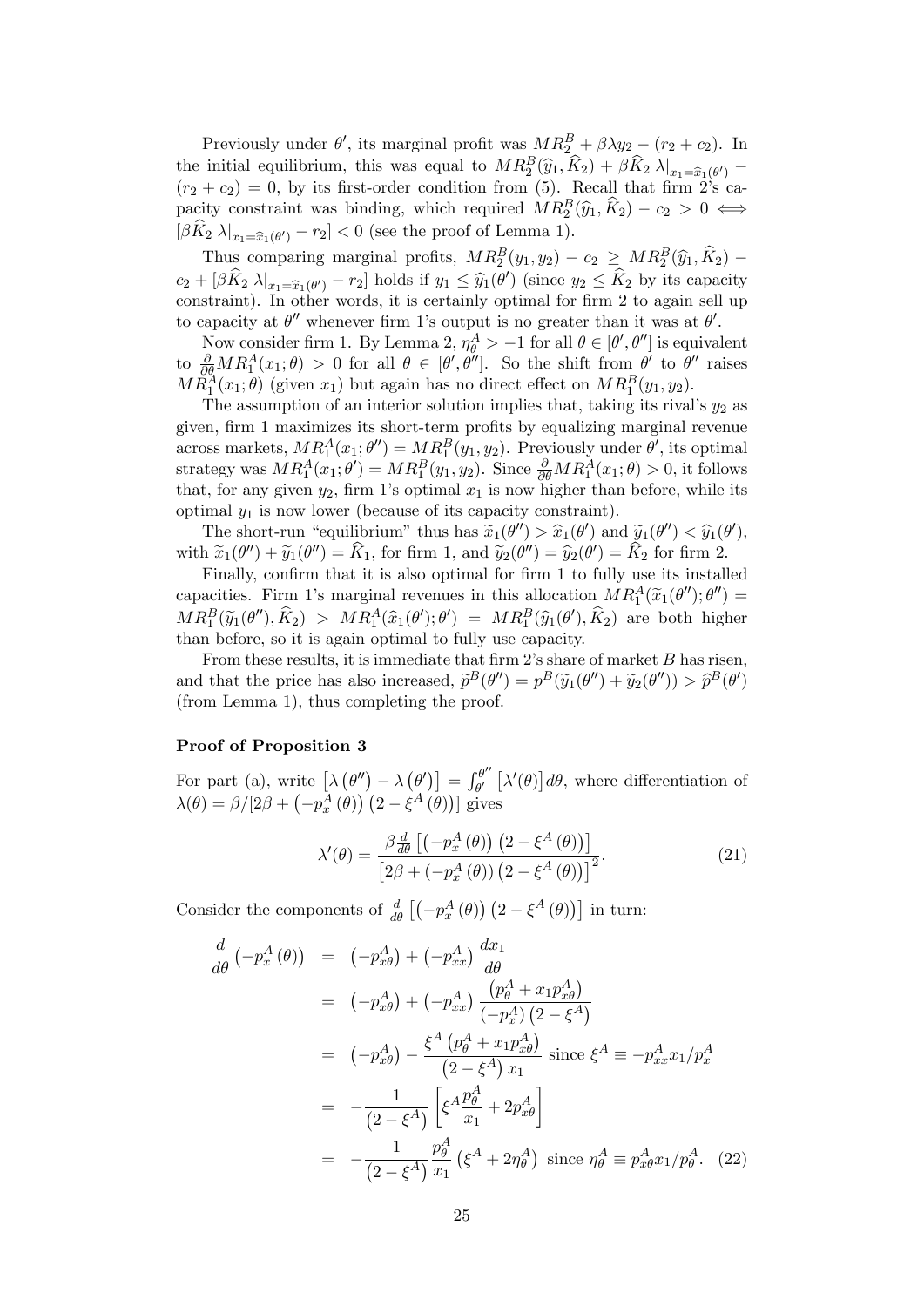Previously under  $\theta'$ , its marginal profit was  $MR_2^B + \beta \lambda y_2 - (r_2 + c_2)$ . In the initial equilibrium, this was equal to  $MR_2^B(\hat{y}_1, \hat{K}_2) + \beta \hat{K}_2 \lambda|_{x_1 = \hat{x}_1(\theta')}$  $(r_2 + c_2) = 0$ , by its first-order condition from (5). Recall that firm  $2^s$ s capacity constraint was binding, which required  $MR_2^B(\hat{y}_1, \hat{K}_2) - c_2 > 0 \iff$  $[\beta K_2 \lambda]_{x_1 = \widehat{x}_1(\theta')} - r_2] < 0$  (see the proof of Lemma 1).

Thus comparing marginal profits,  $MR_2^B(y_1, y_2) - c_2 \ge MR_2^B(\hat{y}_1, \hat{K}_2)$  $c_2 + [\beta K_2 \lambda]_{x_1=\widehat{x}_1(\theta')} - r_2]$  holds if  $y_1 \leq \widehat{y}_1(\theta')$  (since  $y_2 \leq K_2$  by its capacity constraint). In other words, it is certainly optimal for firm 2 to again sell up to capacity at  $\theta''$  whenever firm 1's output is no greater than it was at  $\theta'$ .

Now consider firm 1. By Lemma 2,  $\eta_{\theta}^{A} > -1$  for all  $\theta \in [\theta', \theta'']$  is equivalent to  $\frac{\partial}{\partial \theta}MR_1^A(x_1;\theta) > 0$  for all  $\theta \in [\theta',\theta'']$ . So the shift from  $\theta'$  to  $\theta''$  raises  $MR_1^A(x_1;\theta)$  (given  $x_1$ ) but again has no direct effect on  $MR_1^B(y_1, y_2)$ .

The assumption of an interior solution implies that, taking its rival's  $y_2$  as given, firm 1 maximizes its short-term profits by equalizing marginal revenue across markets,  $MR_1^A(x_1; \theta'') = MR_1^B(y_1, y_2)$ . Previously under  $\theta'$ , its optimal strategy was  $MR_1^A(x_1; \theta') = MR_1^B(y_1, y_2)$ . Since  $\frac{\partial}{\partial \theta}MR_1^A(x_1; \theta) > 0$ , it follows that, for any given  $y_2$ , firm 1's optimal  $x_1$  is now higher than before, while its optimal  $y_1$  is now lower (because of its capacity constraint).

The short-run "equilibrium" thus has  $\widetilde{x}_1(\theta'') > \widehat{x}_1(\theta')$  and  $\widetilde{y}_1(\theta'') < \widehat{y}_1(\theta'')$ ,<br> $\widetilde{x}_1(\theta'') > \widehat{x}_2(\theta'')$ with  $\widetilde{x}_1(\theta'') + \widetilde{y}_1(\theta'') = K_1$ , for firm 1, and  $\widetilde{y}_2(\theta'') = \widehat{y}_2(\theta') = K_2$  for firm 2.

Finally, confirm that it is also optimal for firm 1 to fully use its installed capacities. Firm 1's marginal revenues in this allocation  $MR_1^A(\tilde{x}_1(\theta'');\theta'') =$  $MR_1^B(\widetilde{y}_1(\theta''),\widehat{K}_2) > MR_1^A(\widehat{x}_1(\theta');\theta') = MR_1^B(\widehat{y}_1(\theta'),\widehat{K}_2)$  are both higher than before, so it is again optimal to fully use capacity.

From these results, it is immediate that firm  $2$ 's share of market  $B$  has risen, and that the price has also increased,  $\tilde{p}^B(\theta'') = p^B(\tilde{y}_1(\theta'') + \tilde{y}_2(\theta'')) > \tilde{p}^B(\theta')$ (from Lemma 1), thus completing the proof.

#### Proof of Proposition 3

For part (a), write  $\left[ \lambda \left( \theta'' \right) - \lambda \left( \theta' \right) \right] = \int_{\theta'}^{\theta''}$  $\int_{\theta'}^{\theta''}\left[\lambda'(\theta)\right]d\theta$ , where differentiation of  $\lambda(\theta) = \beta/[2\beta + \left(-p_x^{\overline{A}}(\theta)\right)\left(2 - \xi^{\overline{A}}(\theta)\right)]$  gives

$$
\lambda'(\theta) = \frac{\beta \frac{d}{d\theta} \left[ \left( -p_x^A \left( \theta \right) \right) \left( 2 - \xi^A \left( \theta \right) \right) \right]}{\left[ 2\beta + \left( -p_x^A \left( \theta \right) \right) \left( 2 - \xi^A \left( \theta \right) \right) \right]^2}.
$$
\n(21)

Consider the components of  $\frac{d}{d\theta}\left[\left(-p_x^A(\theta)\right)\left(2-\xi^A(\theta)\right)\right]$  in turn:

$$
\frac{d}{d\theta} \left( -p_x^A (\theta) \right) = \left( -p_{x\theta}^A \right) + \left( -p_{xx}^A \right) \frac{dx_1}{d\theta} \n= \left( -p_{x\theta}^A \right) + \left( -p_{xx}^A \right) \frac{\left( p_{\theta}^A + x_1 p_{x\theta}^A \right)}{\left( -p_x^A \right) \left( 2 - \xi^A \right)} \n= \left( -p_{x\theta}^A \right) - \frac{\xi^A \left( p_{\theta}^A + x_1 p_{x\theta}^A \right)}{\left( 2 - \xi^A \right) x_1} \text{ since } \xi^A \equiv -p_{xx}^A x_1 / p_x^A \n= -\frac{1}{\left( 2 - \xi^A \right)} \left[ \xi^A \frac{p_{\theta}^A}{x_1} + 2p_{x\theta}^A \right] \n= -\frac{1}{\left( 2 - \xi^A \right)} \frac{p_{\theta}^A}{x_1} \left( \xi^A + 2\eta_{\theta}^A \right) \text{ since } \eta_{\theta}^A \equiv p_{x\theta}^A x_1 / p_{\theta}^A. \tag{22}
$$